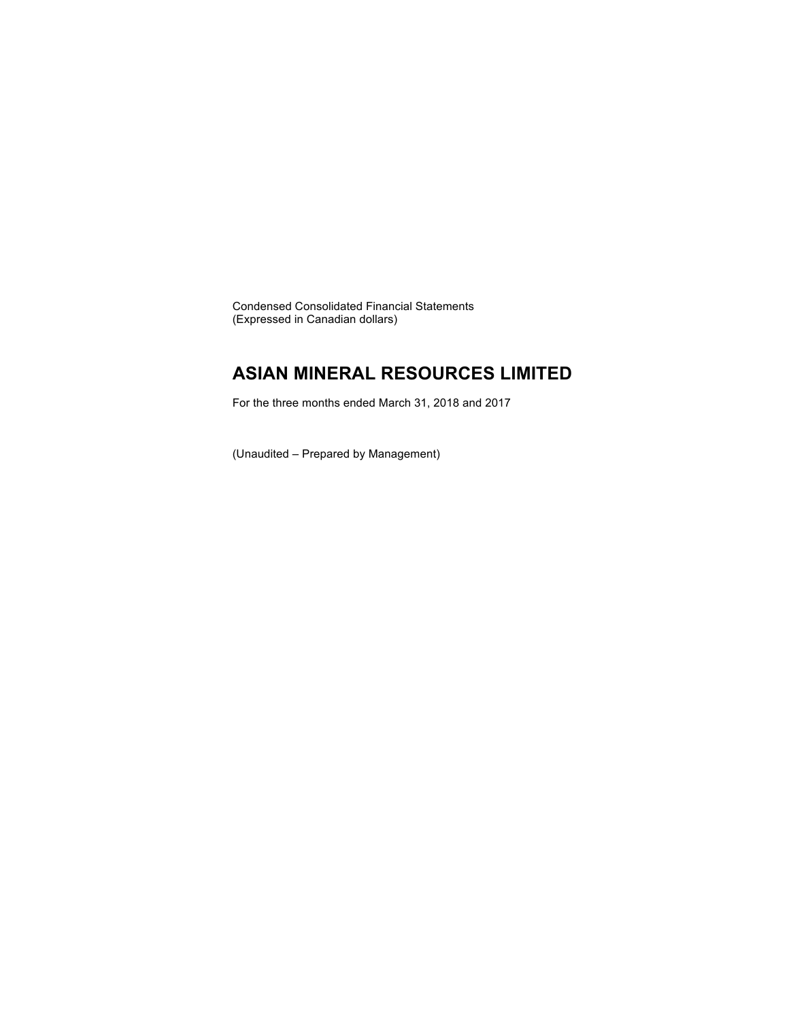Condensed Consolidated Financial Statements (Expressed in Canadian dollars)

# **ASIAN MINERAL RESOURCES LIMITED**

For the three months ended March 31, 2018 and 2017

(Unaudited – Prepared by Management)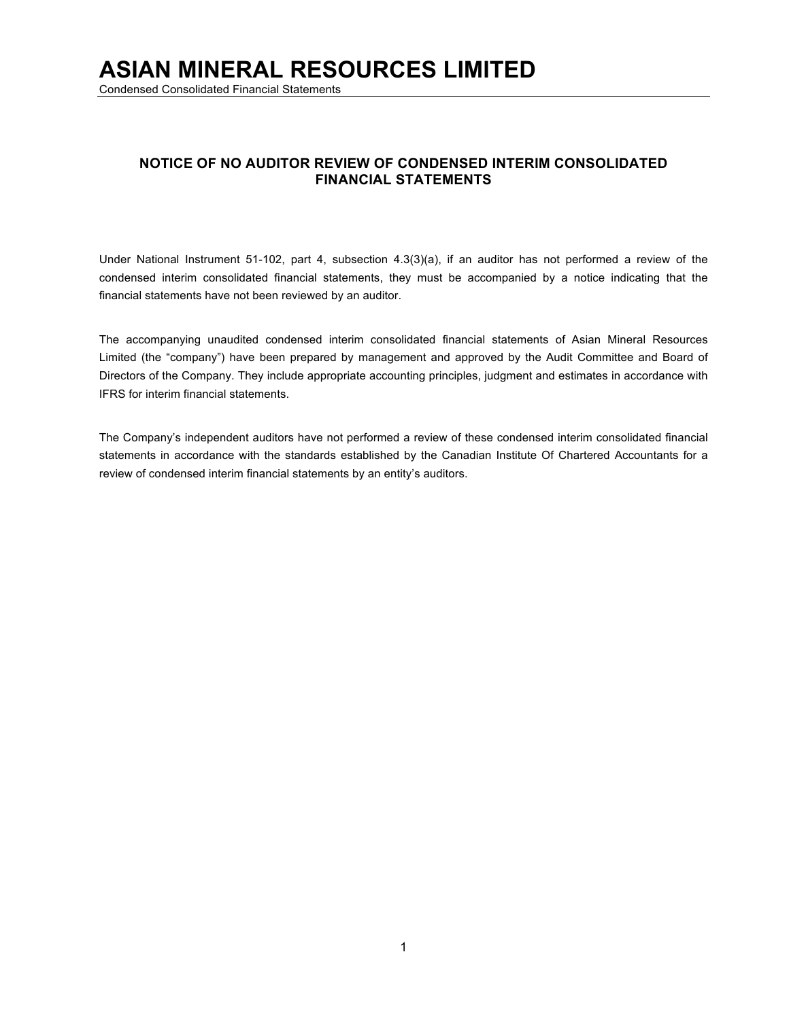Condensed Consolidated Financial Statements

# **NOTICE OF NO AUDITOR REVIEW OF CONDENSED INTERIM CONSOLIDATED FINANCIAL STATEMENTS**

Under National Instrument 51-102, part 4, subsection 4.3(3)(a), if an auditor has not performed a review of the condensed interim consolidated financial statements, they must be accompanied by a notice indicating that the financial statements have not been reviewed by an auditor.

The accompanying unaudited condensed interim consolidated financial statements of Asian Mineral Resources Limited (the "company") have been prepared by management and approved by the Audit Committee and Board of Directors of the Company. They include appropriate accounting principles, judgment and estimates in accordance with IFRS for interim financial statements.

The Company's independent auditors have not performed a review of these condensed interim consolidated financial statements in accordance with the standards established by the Canadian Institute Of Chartered Accountants for a review of condensed interim financial statements by an entity's auditors.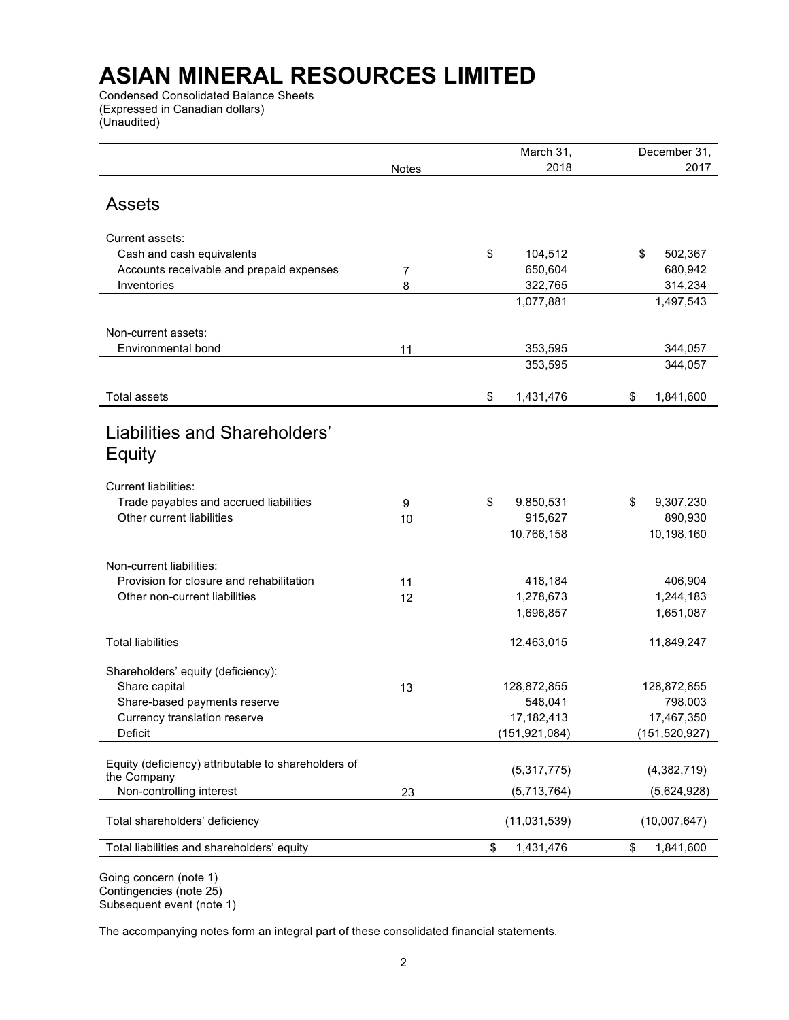Condensed Consolidated Balance Sheets (Expressed in Canadian dollars) (Unaudited)

| 2018                                                               |                 |
|--------------------------------------------------------------------|-----------------|
| <b>Notes</b>                                                       | 2017            |
|                                                                    |                 |
| <b>Assets</b>                                                      |                 |
|                                                                    |                 |
| Current assets:                                                    |                 |
| \$<br>Cash and cash equivalents<br>104,512                         | 502,367<br>\$   |
| 650,604<br>Accounts receivable and prepaid expenses<br>7           | 680,942         |
| Inventories<br>322,765<br>8                                        | 314,234         |
| 1,077,881                                                          | 1,497,543       |
| Non-current assets:                                                |                 |
| Environmental bond<br>353,595                                      | 344,057         |
| 11<br>353,595                                                      | 344,057         |
|                                                                    |                 |
| <b>Total assets</b><br>1,431,476<br>\$                             | \$<br>1,841,600 |
|                                                                    |                 |
| Liabilities and Shareholders'                                      |                 |
|                                                                    |                 |
| Equity                                                             |                 |
| <b>Current liabilities:</b>                                        |                 |
| Trade payables and accrued liabilities<br>\$<br>9,850,531<br>9     | 9,307,230<br>\$ |
| Other current liabilities<br>915,627<br>10                         | 890,930         |
| 10,766,158                                                         | 10,198,160      |
|                                                                    |                 |
| Non-current liabilities:                                           |                 |
| Provision for closure and rehabilitation<br>418,184<br>11          | 406,904         |
| 1,278,673<br>Other non-current liabilities<br>12                   | 1,244,183       |
| 1,696,857                                                          | 1,651,087       |
|                                                                    |                 |
| <b>Total liabilities</b><br>12,463,015                             | 11,849,247      |
| Shareholders' equity (deficiency):                                 |                 |
| Share capital<br>13<br>128,872,855                                 | 128,872,855     |
| Share-based payments reserve<br>548,041                            | 798,003         |
| 17,182,413<br>Currency translation reserve                         | 17,467,350      |
| Deficit<br>(151, 921, 084)                                         | (151, 520, 927) |
|                                                                    |                 |
| Equity (deficiency) attributable to shareholders of<br>(5,317,775) | (4,382,719)     |
| the Company                                                        |                 |
| Non-controlling interest<br>(5,713,764)<br>23                      | (5,624,928)     |
| Total shareholders' deficiency<br>(11,031,539)                     | (10,007,647)    |
|                                                                    |                 |
| \$<br>1,431,476<br>Total liabilities and shareholders' equity      | \$<br>1,841,600 |

Going concern (note 1) Contingencies (note 25) Subsequent event (note 1)

The accompanying notes form an integral part of these consolidated financial statements.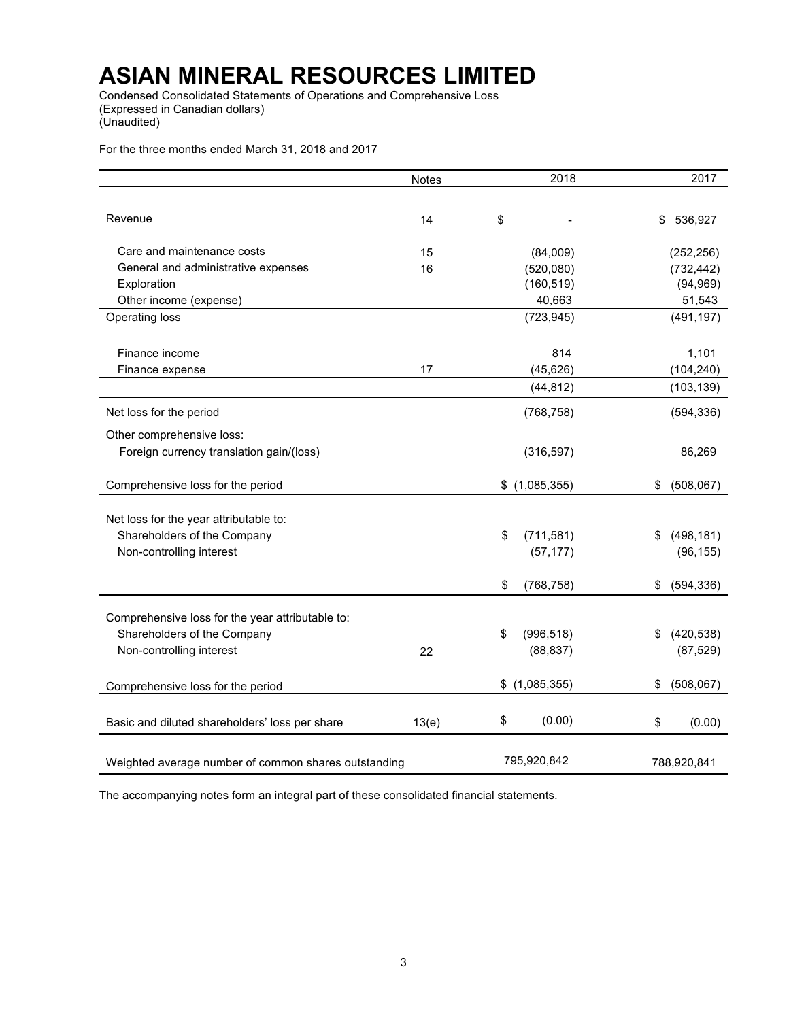Condensed Consolidated Statements of Operations and Comprehensive Loss (Expressed in Canadian dollars) (Unaudited)

For the three months ended March 31, 2018 and 2017

|                                                      | <b>Notes</b> | 2018             | 2017             |
|------------------------------------------------------|--------------|------------------|------------------|
|                                                      |              |                  |                  |
| Revenue                                              | 14           | \$               | \$<br>536,927    |
| Care and maintenance costs                           | 15           | (84,009)         | (252, 256)       |
| General and administrative expenses                  | 16           | (520,080)        | (732, 442)       |
| Exploration                                          |              | (160, 519)       | (94, 969)        |
| Other income (expense)                               |              | 40,663           | 51,543           |
| Operating loss                                       |              | (723, 945)       | (491, 197)       |
| Finance income                                       |              | 814              | 1,101            |
| Finance expense                                      | 17           | (45, 626)        | (104, 240)       |
|                                                      |              | (44, 812)        | (103, 139)       |
| Net loss for the period                              |              | (768, 758)       | (594, 336)       |
| Other comprehensive loss:                            |              |                  |                  |
| Foreign currency translation gain/(loss)             |              | (316, 597)       | 86,269           |
| Comprehensive loss for the period                    |              | \$(1,085,355)    | \$<br>(508, 067) |
|                                                      |              |                  |                  |
| Net loss for the year attributable to:               |              |                  |                  |
| Shareholders of the Company                          |              | \$<br>(711, 581) | \$<br>(498, 181) |
| Non-controlling interest                             |              | (57, 177)        | (96, 155)        |
|                                                      |              |                  |                  |
|                                                      |              | \$<br>(768, 758) | \$<br>(594, 336) |
| Comprehensive loss for the year attributable to:     |              |                  |                  |
| Shareholders of the Company                          |              | \$<br>(996, 518) | \$<br>(420, 538) |
| Non-controlling interest                             | 22           | (88, 837)        | (87, 529)        |
|                                                      |              |                  |                  |
| Comprehensive loss for the period                    |              | \$(1,085,355)    | \$<br>(508, 067) |
|                                                      |              |                  |                  |
| Basic and diluted shareholders' loss per share       | 13(e)        | \$<br>(0.00)     | \$<br>(0.00)     |
| Weighted average number of common shares outstanding |              | 795,920,842      | 788,920,841      |

The accompanying notes form an integral part of these consolidated financial statements.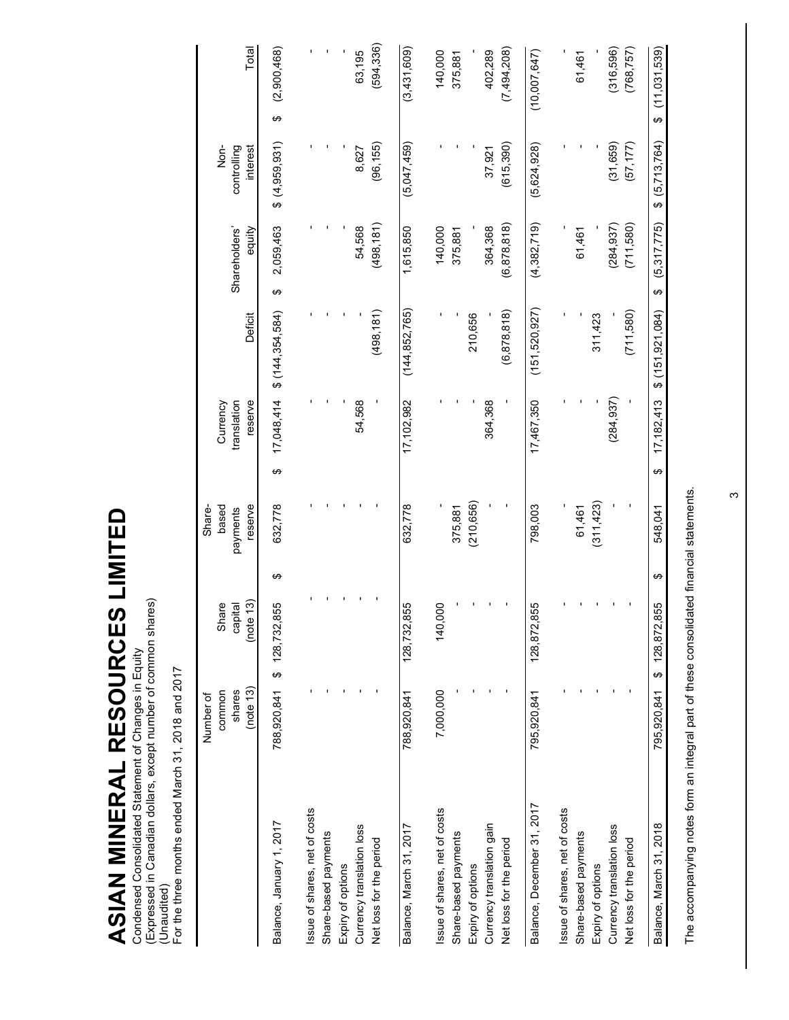ASIAN MINERAL RESOURCES LIMITED **ASIAN MINERAL RESOURCES LIMITED** Condensed Consolidated Statement of Changes in Equity

Condensed Consolidated Statement of Changes in Equity<br>(Expressed in Canadian dollars, except number of common shares)<br>(Unaudited)<br>For the three months ended March 31, 2018 and 2017 (Expressed in Canadian dollars, except number of common shares)

(Unaudited) For the three months ended March 31, 2018 and 2017

|                                                       | (note 13)<br>shares<br>common<br>Number of | (note 13)<br>Share<br>豆<br>capit |   | reserve<br>based<br>Share-<br>payments | translation       | reserve<br>Currency | Deficit           | Shareholders'<br>equity | $rac{1}{2}$<br>controlling<br>interest | Total               |
|-------------------------------------------------------|--------------------------------------------|----------------------------------|---|----------------------------------------|-------------------|---------------------|-------------------|-------------------------|----------------------------------------|---------------------|
| Balance, January 1, 2017                              | 788,920,841                                | \$128,732,855                    | ↮ | 632,778                                | 17,048,414<br>↮   |                     | \$(144, 354, 584) | 2,059,463<br>↮          | \$(4,959,931)                          | (2,900,468)<br>↮    |
| Issue of shares, net of costs<br>Share-based payments |                                            |                                  |   |                                        |                   |                     |                   |                         |                                        |                     |
| Currency translation loss<br>Expiry of options        |                                            |                                  |   |                                        |                   | 54,568              |                   | 54,568                  | 8,627                                  | 63,195              |
| Net loss for the period                               |                                            |                                  |   |                                        |                   |                     | (498, 181)        | (498, 181)              | (96, 155)                              | (594, 336)          |
| Balance, March 31, 2017                               | 788,920,841                                | 128,732,855                      |   | 632,778                                | 17, 102, 982      |                     | (144, 852, 765)   | 1,615,850               | (5,047,459)                            | (3,431,609)         |
| Issue of shares, net of costs                         | 7,000,000                                  | 140,000                          |   |                                        |                   |                     |                   | 140,000                 |                                        | 140,000             |
| Share-based payments                                  |                                            |                                  |   | 375,881                                |                   |                     |                   | 375,881                 |                                        | 375,881             |
| Expiry of options                                     |                                            |                                  |   | (210, 656)                             |                   |                     | 210,656           |                         |                                        |                     |
| Currency translation gain                             |                                            |                                  |   |                                        |                   | 364,368             |                   | 364,368                 | 37,921                                 | 402,289             |
| Net loss for the period                               |                                            |                                  |   |                                        |                   |                     | (6, 878, 818)     | (6, 878, 818)           | (615, 390)                             | (7,494,208)         |
| Balance, December 31, 2017                            | 795,920,841                                | 128, 872, 855                    |   | 798,003                                | 17,467,350        |                     | (151, 520, 927)   | (4,382,719)             | (5,624,928)                            | (10,007,647)        |
| Issue of shares, net of costs                         |                                            |                                  |   |                                        |                   |                     |                   |                         |                                        |                     |
| Share-based payments                                  |                                            |                                  |   | 61,461                                 |                   |                     |                   | 61,461                  |                                        | 61,461              |
| Expiry of options                                     |                                            |                                  |   | (311, 423)                             |                   |                     | 311,423           |                         |                                        |                     |
| Currency translation loss                             |                                            |                                  |   |                                        |                   | (284, 937)          |                   | (284, 937)              | (31, 659)                              | (316,596)           |
| Net loss for the period                               |                                            |                                  |   |                                        |                   |                     | (711,580)         | (711,580)               | (57, 177)                              | (768, 757)          |
| Balance, March 31, 2018                               | 795.920.841                                | 128,872,855<br>↔                 | ↮ | 548.041                                | 17, 182, 413<br>↮ |                     | \$(151.921.084)   | (5,317,775)<br>↮        | (5, 713, 764)<br>ക                     | (11, 031, 539)<br>↮ |

The accompanying notes form an integral part of these consolidated financial statements. The accompanying notes form an integral part of these consolidated financial statements.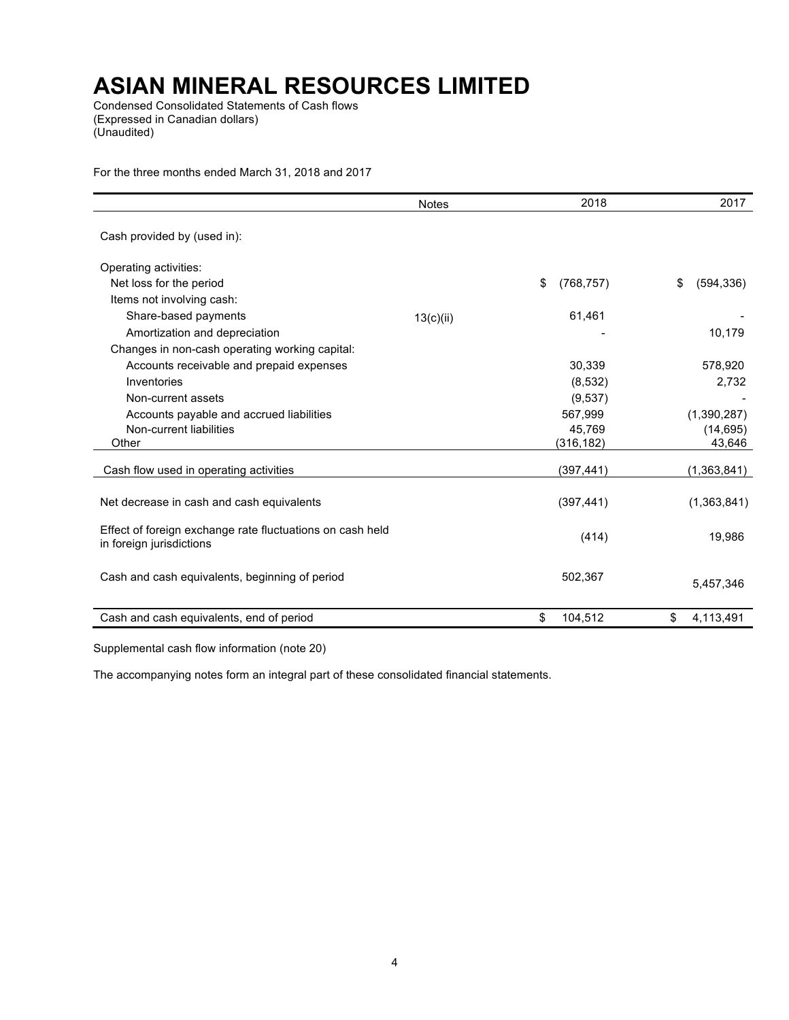Condensed Consolidated Statements of Cash flows (Expressed in Canadian dollars) (Unaudited)

For the three months ended March 31, 2018 and 2017

|                                                                                       | <b>Notes</b> | 2018             | 2017             |
|---------------------------------------------------------------------------------------|--------------|------------------|------------------|
| Cash provided by (used in):                                                           |              |                  |                  |
| Operating activities:                                                                 |              |                  |                  |
| Net loss for the period                                                               |              | \$<br>(768, 757) | \$<br>(594, 336) |
| Items not involving cash:                                                             |              |                  |                  |
| Share-based payments                                                                  | 13(c)(ii)    | 61,461           |                  |
| Amortization and depreciation                                                         |              |                  | 10,179           |
| Changes in non-cash operating working capital:                                        |              |                  |                  |
| Accounts receivable and prepaid expenses                                              |              | 30,339           | 578,920          |
| Inventories                                                                           |              | (8, 532)         | 2,732            |
| Non-current assets                                                                    |              | (9,537)          |                  |
| Accounts payable and accrued liabilities                                              |              | 567,999          | (1,390,287)      |
| Non-current liabilities                                                               |              | 45,769           | (14, 695)        |
| Other                                                                                 |              | (316, 182)       | 43,646           |
| Cash flow used in operating activities                                                |              | (397,441)        | (1,363,841)      |
| Net decrease in cash and cash equivalents                                             |              | (397, 441)       | (1,363,841)      |
| Effect of foreign exchange rate fluctuations on cash held<br>in foreign jurisdictions |              | (414)            | 19,986           |
| Cash and cash equivalents, beginning of period                                        |              | 502,367          | 5,457,346        |
| Cash and cash equivalents, end of period                                              |              | 104,512<br>\$    | 4,113,491<br>S   |

Supplemental cash flow information (note 20)

The accompanying notes form an integral part of these consolidated financial statements.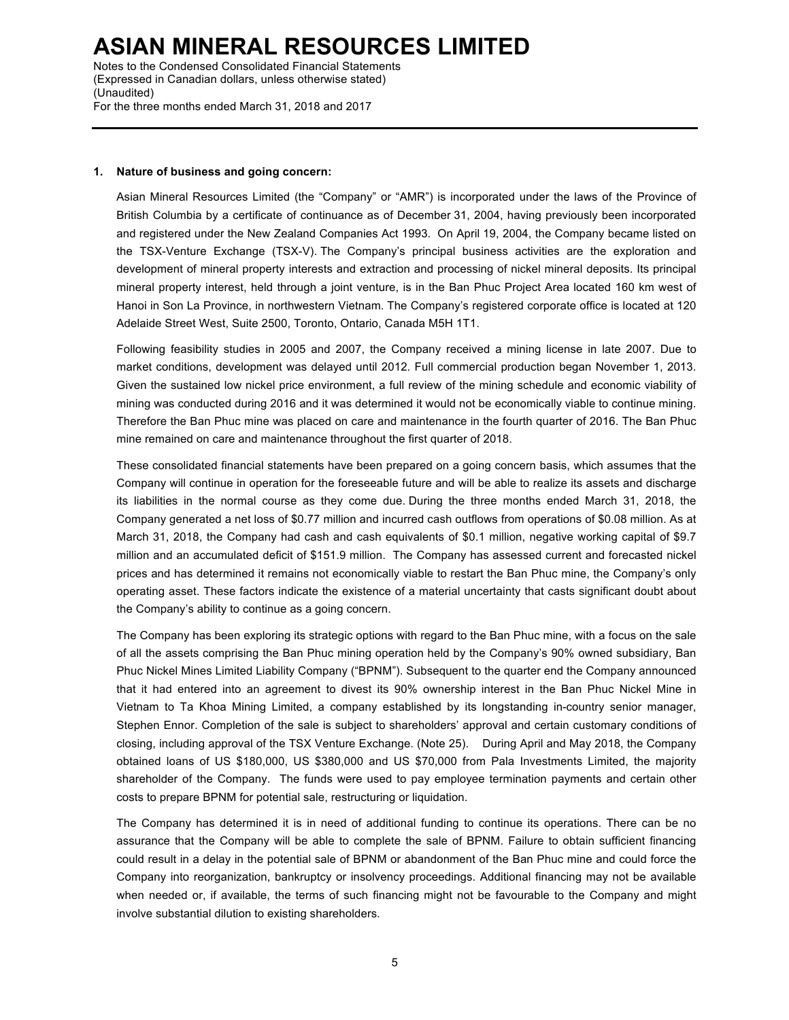Notes to the Condensed Consolidated Financial Statements (Expressed in Canadian dollars, unless otherwise stated) (Unaudited) For the three months ended March 31, 2018 and 2017

#### **1. Nature of business and going concern:**

Asian Mineral Resources Limited (the "Company" or "AMR") is incorporated under the laws of the Province of British Columbia by a certificate of continuance as of December 31, 2004, having previously been incorporated and registered under the New Zealand Companies Act 1993. On April 19, 2004, the Company became listed on the TSX-Venture Exchange (TSX-V). The Company's principal business activities are the exploration and development of mineral property interests and extraction and processing of nickel mineral deposits. Its principal mineral property interest, held through a joint venture, is in the Ban Phuc Project Area located 160 km west of Hanoi in Son La Province, in northwestern Vietnam. The Company's registered corporate office is located at 120 Adelaide Street West, Suite 2500, Toronto, Ontario, Canada M5H 1T1.

Following feasibility studies in 2005 and 2007, the Company received a mining license in late 2007. Due to market conditions, development was delayed until 2012. Full commercial production began November 1, 2013. Given the sustained low nickel price environment, a full review of the mining schedule and economic viability of mining was conducted during 2016 and it was determined it would not be economically viable to continue mining. Therefore the Ban Phuc mine was placed on care and maintenance in the fourth quarter of 2016. The Ban Phuc mine remained on care and maintenance throughout the first quarter of 2018.

These consolidated financial statements have been prepared on a going concern basis, which assumes that the Company will continue in operation for the foreseeable future and will be able to realize its assets and discharge its liabilities in the normal course as they come due. During the three months ended March 31, 2018, the Company generated a net loss of \$0.77 million and incurred cash outflows from operations of \$0.08 million. As at March 31, 2018, the Company had cash and cash equivalents of \$0.1 million, negative working capital of \$9.7 million and an accumulated deficit of \$151.9 million. The Company has assessed current and forecasted nickel prices and has determined it remains not economically viable to restart the Ban Phuc mine, the Company's only operating asset. These factors indicate the existence of a material uncertainty that casts significant doubt about the Company's ability to continue as a going concern.

The Company has been exploring its strategic options with regard to the Ban Phuc mine, with a focus on the sale of all the assets comprising the Ban Phuc mining operation held by the Company's 90% owned subsidiary, Ban Phuc Nickel Mines Limited Liability Company ("BPNM"). Subsequent to the quarter end the Company announced that it had entered into an agreement to divest its 90% ownership interest in the Ban Phuc Nickel Mine in Vietnam to Ta Khoa Mining Limited, a company established by its longstanding in-country senior manager, Stephen Ennor. Completion of the sale is subject to shareholders' approval and certain customary conditions of closing, including approval of the TSX Venture Exchange. (Note 25). During April and May 2018, the Company obtained loans of US \$180,000, US \$380,000 and US \$70,000 from Pala Investments Limited, the majority shareholder of the Company. The funds were used to pay employee termination payments and certain other costs to prepare BPNM for potential sale, restructuring or liquidation.

The Company has determined it is in need of additional funding to continue its operations. There can be no assurance that the Company will be able to complete the sale of BPNM. Failure to obtain sufficient financing could result in a delay in the potential sale of BPNM or abandonment of the Ban Phuc mine and could force the Company into reorganization, bankruptcy or insolvency proceedings. Additional financing may not be available when needed or, if available, the terms of such financing might not be favourable to the Company and might involve substantial dilution to existing shareholders.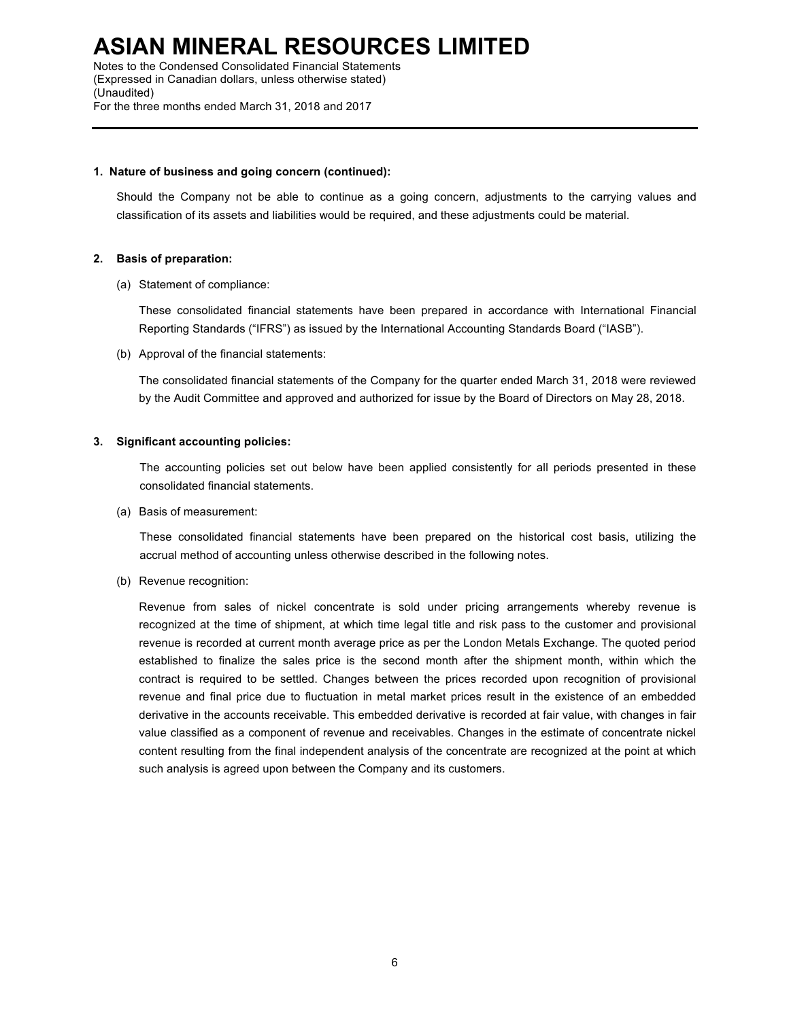Notes to the Condensed Consolidated Financial Statements (Expressed in Canadian dollars, unless otherwise stated) (Unaudited) For the three months ended March 31, 2018 and 2017

#### **1. Nature of business and going concern (continued):**

Should the Company not be able to continue as a going concern, adjustments to the carrying values and classification of its assets and liabilities would be required, and these adjustments could be material.

### **2. Basis of preparation:**

(a) Statement of compliance:

These consolidated financial statements have been prepared in accordance with International Financial Reporting Standards ("IFRS") as issued by the International Accounting Standards Board ("IASB").

(b) Approval of the financial statements:

The consolidated financial statements of the Company for the quarter ended March 31, 2018 were reviewed by the Audit Committee and approved and authorized for issue by the Board of Directors on May 28, 2018.

### **3. Significant accounting policies:**

The accounting policies set out below have been applied consistently for all periods presented in these consolidated financial statements.

(a) Basis of measurement:

These consolidated financial statements have been prepared on the historical cost basis, utilizing the accrual method of accounting unless otherwise described in the following notes.

(b) Revenue recognition:

Revenue from sales of nickel concentrate is sold under pricing arrangements whereby revenue is recognized at the time of shipment, at which time legal title and risk pass to the customer and provisional revenue is recorded at current month average price as per the London Metals Exchange. The quoted period established to finalize the sales price is the second month after the shipment month, within which the contract is required to be settled. Changes between the prices recorded upon recognition of provisional revenue and final price due to fluctuation in metal market prices result in the existence of an embedded derivative in the accounts receivable. This embedded derivative is recorded at fair value, with changes in fair value classified as a component of revenue and receivables. Changes in the estimate of concentrate nickel content resulting from the final independent analysis of the concentrate are recognized at the point at which such analysis is agreed upon between the Company and its customers.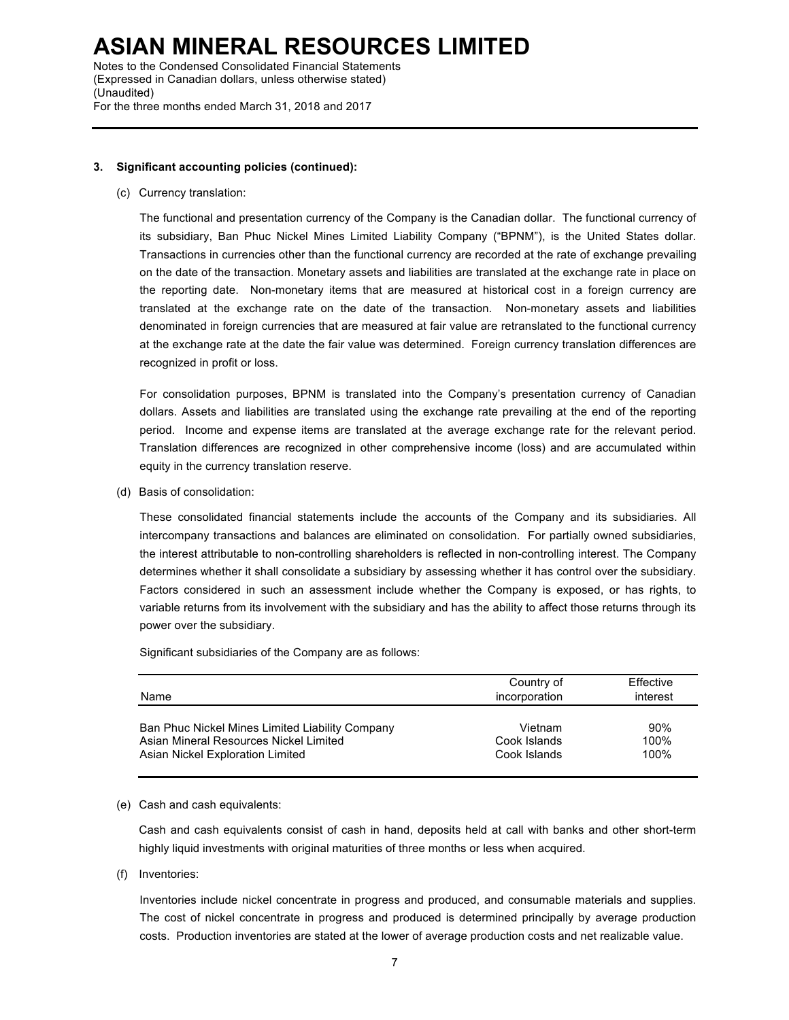Notes to the Condensed Consolidated Financial Statements (Expressed in Canadian dollars, unless otherwise stated) (Unaudited) For the three months ended March 31, 2018 and 2017

# **3. Significant accounting policies (continued):**

(c) Currency translation:

The functional and presentation currency of the Company is the Canadian dollar. The functional currency of its subsidiary, Ban Phuc Nickel Mines Limited Liability Company ("BPNM"), is the United States dollar. Transactions in currencies other than the functional currency are recorded at the rate of exchange prevailing on the date of the transaction. Monetary assets and liabilities are translated at the exchange rate in place on the reporting date. Non-monetary items that are measured at historical cost in a foreign currency are translated at the exchange rate on the date of the transaction. Non-monetary assets and liabilities denominated in foreign currencies that are measured at fair value are retranslated to the functional currency at the exchange rate at the date the fair value was determined. Foreign currency translation differences are recognized in profit or loss.

For consolidation purposes, BPNM is translated into the Company's presentation currency of Canadian dollars. Assets and liabilities are translated using the exchange rate prevailing at the end of the reporting period. Income and expense items are translated at the average exchange rate for the relevant period. Translation differences are recognized in other comprehensive income (loss) and are accumulated within equity in the currency translation reserve.

(d) Basis of consolidation:

These consolidated financial statements include the accounts of the Company and its subsidiaries. All intercompany transactions and balances are eliminated on consolidation. For partially owned subsidiaries, the interest attributable to non-controlling shareholders is reflected in non-controlling interest. The Company determines whether it shall consolidate a subsidiary by assessing whether it has control over the subsidiary. Factors considered in such an assessment include whether the Company is exposed, or has rights, to variable returns from its involvement with the subsidiary and has the ability to affect those returns through its power over the subsidiary.

Significant subsidiaries of the Company are as follows:

| Name                                            | Country of<br>incorporation | Effective<br>interest |
|-------------------------------------------------|-----------------------------|-----------------------|
| Ban Phuc Nickel Mines Limited Liability Company | Vietnam                     | 90%                   |
| Asian Mineral Resources Nickel Limited          | Cook Islands                | 100%                  |
| Asian Nickel Exploration Limited                | Cook Islands                | 100%                  |

#### (e) Cash and cash equivalents:

Cash and cash equivalents consist of cash in hand, deposits held at call with banks and other short-term highly liquid investments with original maturities of three months or less when acquired.

(f) Inventories:

Inventories include nickel concentrate in progress and produced, and consumable materials and supplies. The cost of nickel concentrate in progress and produced is determined principally by average production costs. Production inventories are stated at the lower of average production costs and net realizable value.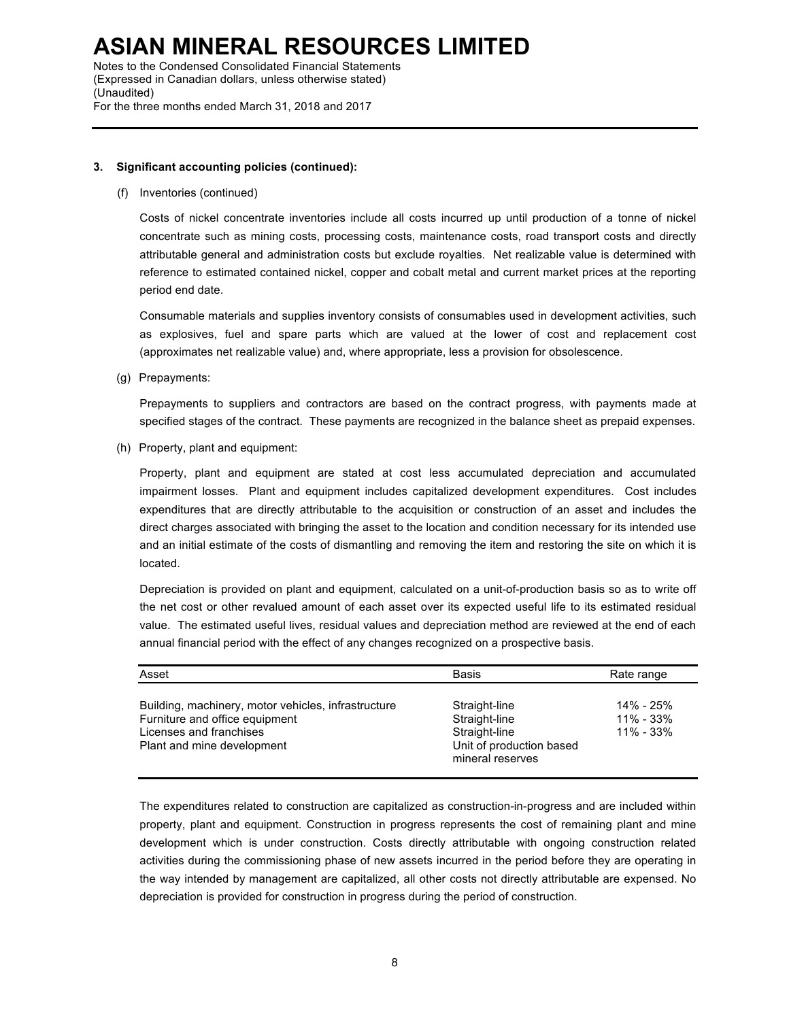Notes to the Condensed Consolidated Financial Statements (Expressed in Canadian dollars, unless otherwise stated) (Unaudited) For the three months ended March 31, 2018 and 2017

# **3. Significant accounting policies (continued):**

(f) Inventories (continued)

Costs of nickel concentrate inventories include all costs incurred up until production of a tonne of nickel concentrate such as mining costs, processing costs, maintenance costs, road transport costs and directly attributable general and administration costs but exclude royalties. Net realizable value is determined with reference to estimated contained nickel, copper and cobalt metal and current market prices at the reporting period end date.

Consumable materials and supplies inventory consists of consumables used in development activities, such as explosives, fuel and spare parts which are valued at the lower of cost and replacement cost (approximates net realizable value) and, where appropriate, less a provision for obsolescence.

(g) Prepayments:

Prepayments to suppliers and contractors are based on the contract progress, with payments made at specified stages of the contract. These payments are recognized in the balance sheet as prepaid expenses.

(h) Property, plant and equipment:

Property, plant and equipment are stated at cost less accumulated depreciation and accumulated impairment losses. Plant and equipment includes capitalized development expenditures. Cost includes expenditures that are directly attributable to the acquisition or construction of an asset and includes the direct charges associated with bringing the asset to the location and condition necessary for its intended use and an initial estimate of the costs of dismantling and removing the item and restoring the site on which it is located.

Depreciation is provided on plant and equipment, calculated on a unit-of-production basis so as to write off the net cost or other revalued amount of each asset over its expected useful life to its estimated residual value. The estimated useful lives, residual values and depreciation method are reviewed at the end of each annual financial period with the effect of any changes recognized on a prospective basis.

| Asset                                                                                                                                          | <b>Basis</b>                                                                                    | Rate range                              |
|------------------------------------------------------------------------------------------------------------------------------------------------|-------------------------------------------------------------------------------------------------|-----------------------------------------|
| Building, machinery, motor vehicles, infrastructure<br>Furniture and office equipment<br>Licenses and franchises<br>Plant and mine development | Straight-line<br>Straight-line<br>Straight-line<br>Unit of production based<br>mineral reserves | 14% - 25%<br>$11\% - 33\%$<br>11% - 33% |

The expenditures related to construction are capitalized as construction-in-progress and are included within property, plant and equipment. Construction in progress represents the cost of remaining plant and mine development which is under construction. Costs directly attributable with ongoing construction related activities during the commissioning phase of new assets incurred in the period before they are operating in the way intended by management are capitalized, all other costs not directly attributable are expensed. No depreciation is provided for construction in progress during the period of construction.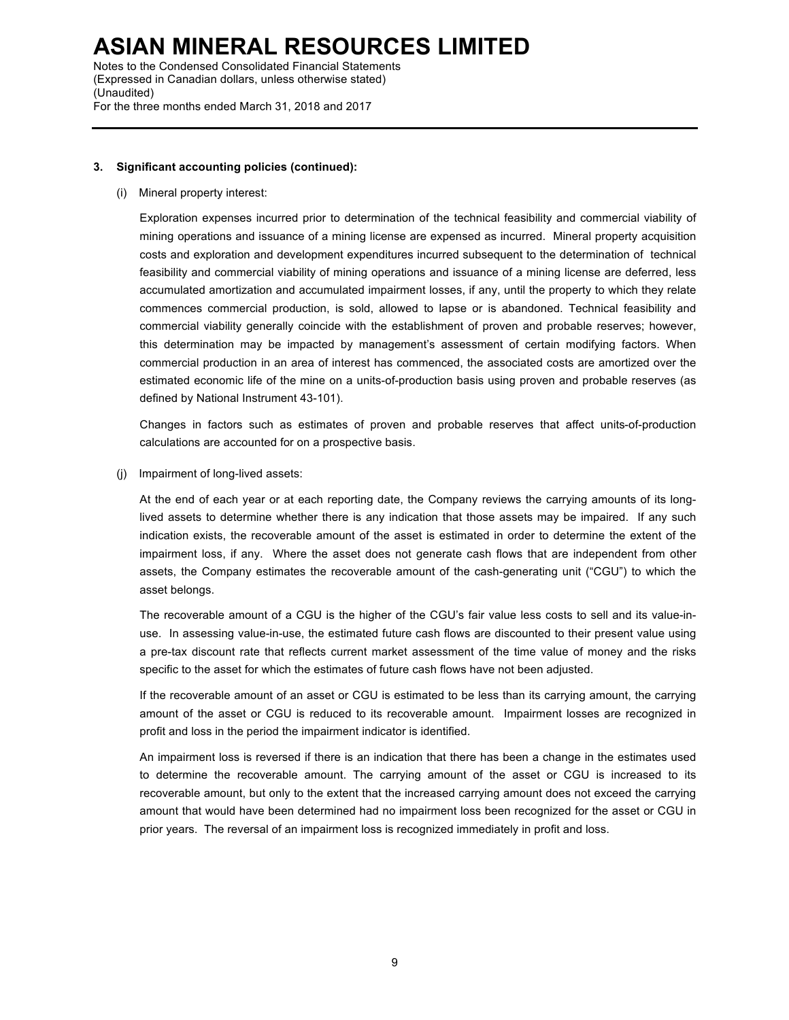Notes to the Condensed Consolidated Financial Statements (Expressed in Canadian dollars, unless otherwise stated) (Unaudited) For the three months ended March 31, 2018 and 2017

# **3. Significant accounting policies (continued):**

(i) Mineral property interest:

Exploration expenses incurred prior to determination of the technical feasibility and commercial viability of mining operations and issuance of a mining license are expensed as incurred. Mineral property acquisition costs and exploration and development expenditures incurred subsequent to the determination of technical feasibility and commercial viability of mining operations and issuance of a mining license are deferred, less accumulated amortization and accumulated impairment losses, if any, until the property to which they relate commences commercial production, is sold, allowed to lapse or is abandoned. Technical feasibility and commercial viability generally coincide with the establishment of proven and probable reserves; however, this determination may be impacted by management's assessment of certain modifying factors. When commercial production in an area of interest has commenced, the associated costs are amortized over the estimated economic life of the mine on a units-of-production basis using proven and probable reserves (as defined by National Instrument 43-101).

Changes in factors such as estimates of proven and probable reserves that affect units-of-production calculations are accounted for on a prospective basis.

(j) Impairment of long-lived assets:

At the end of each year or at each reporting date, the Company reviews the carrying amounts of its longlived assets to determine whether there is any indication that those assets may be impaired. If any such indication exists, the recoverable amount of the asset is estimated in order to determine the extent of the impairment loss, if any. Where the asset does not generate cash flows that are independent from other assets, the Company estimates the recoverable amount of the cash-generating unit ("CGU") to which the asset belongs.

The recoverable amount of a CGU is the higher of the CGU's fair value less costs to sell and its value-inuse. In assessing value-in-use, the estimated future cash flows are discounted to their present value using a pre-tax discount rate that reflects current market assessment of the time value of money and the risks specific to the asset for which the estimates of future cash flows have not been adjusted.

If the recoverable amount of an asset or CGU is estimated to be less than its carrying amount, the carrying amount of the asset or CGU is reduced to its recoverable amount. Impairment losses are recognized in profit and loss in the period the impairment indicator is identified.

An impairment loss is reversed if there is an indication that there has been a change in the estimates used to determine the recoverable amount. The carrying amount of the asset or CGU is increased to its recoverable amount, but only to the extent that the increased carrying amount does not exceed the carrying amount that would have been determined had no impairment loss been recognized for the asset or CGU in prior years. The reversal of an impairment loss is recognized immediately in profit and loss.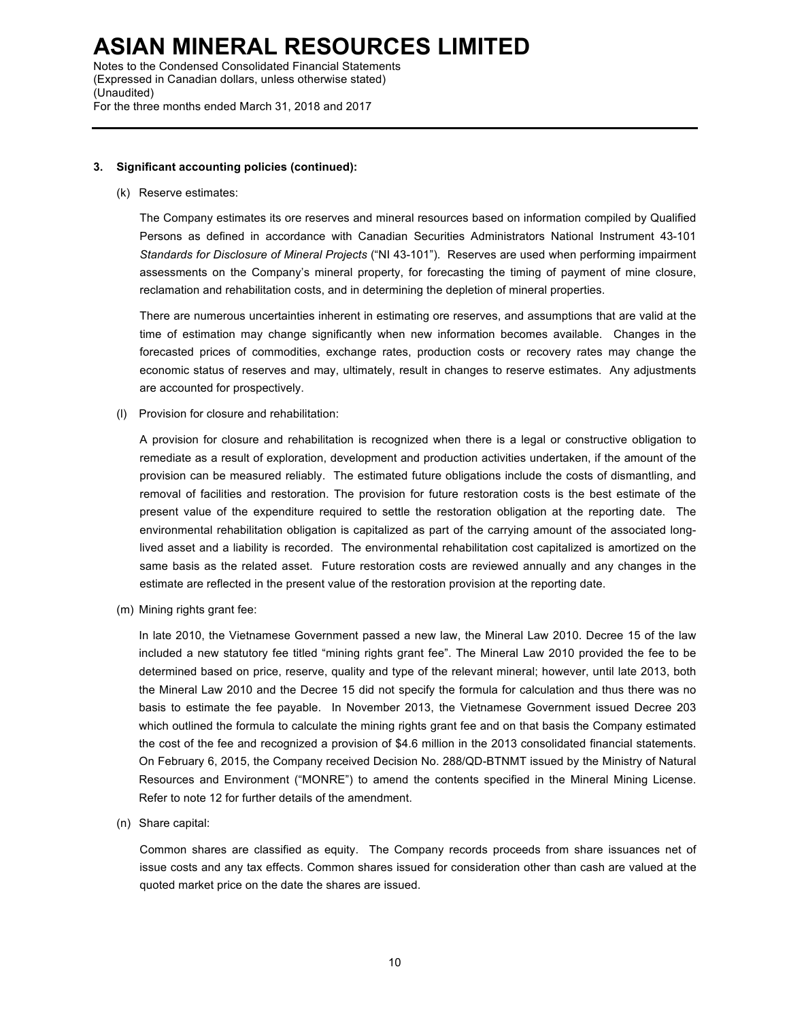Notes to the Condensed Consolidated Financial Statements (Expressed in Canadian dollars, unless otherwise stated) (Unaudited) For the three months ended March 31, 2018 and 2017

### **3. Significant accounting policies (continued):**

#### (k) Reserve estimates:

The Company estimates its ore reserves and mineral resources based on information compiled by Qualified Persons as defined in accordance with Canadian Securities Administrators National Instrument 43-101 *Standards for Disclosure of Mineral Projects* ("NI 43-101"). Reserves are used when performing impairment assessments on the Company's mineral property, for forecasting the timing of payment of mine closure, reclamation and rehabilitation costs, and in determining the depletion of mineral properties.

There are numerous uncertainties inherent in estimating ore reserves, and assumptions that are valid at the time of estimation may change significantly when new information becomes available. Changes in the forecasted prices of commodities, exchange rates, production costs or recovery rates may change the economic status of reserves and may, ultimately, result in changes to reserve estimates. Any adjustments are accounted for prospectively.

(l) Provision for closure and rehabilitation:

A provision for closure and rehabilitation is recognized when there is a legal or constructive obligation to remediate as a result of exploration, development and production activities undertaken, if the amount of the provision can be measured reliably. The estimated future obligations include the costs of dismantling, and removal of facilities and restoration. The provision for future restoration costs is the best estimate of the present value of the expenditure required to settle the restoration obligation at the reporting date. The environmental rehabilitation obligation is capitalized as part of the carrying amount of the associated longlived asset and a liability is recorded. The environmental rehabilitation cost capitalized is amortized on the same basis as the related asset. Future restoration costs are reviewed annually and any changes in the estimate are reflected in the present value of the restoration provision at the reporting date.

(m) Mining rights grant fee:

In late 2010, the Vietnamese Government passed a new law, the Mineral Law 2010. Decree 15 of the law included a new statutory fee titled "mining rights grant fee". The Mineral Law 2010 provided the fee to be determined based on price, reserve, quality and type of the relevant mineral; however, until late 2013, both the Mineral Law 2010 and the Decree 15 did not specify the formula for calculation and thus there was no basis to estimate the fee payable. In November 2013, the Vietnamese Government issued Decree 203 which outlined the formula to calculate the mining rights grant fee and on that basis the Company estimated the cost of the fee and recognized a provision of \$4.6 million in the 2013 consolidated financial statements. On February 6, 2015, the Company received Decision No. 288/QD-BTNMT issued by the Ministry of Natural Resources and Environment ("MONRE") to amend the contents specified in the Mineral Mining License. Refer to note 12 for further details of the amendment.

(n) Share capital:

Common shares are classified as equity. The Company records proceeds from share issuances net of issue costs and any tax effects. Common shares issued for consideration other than cash are valued at the quoted market price on the date the shares are issued.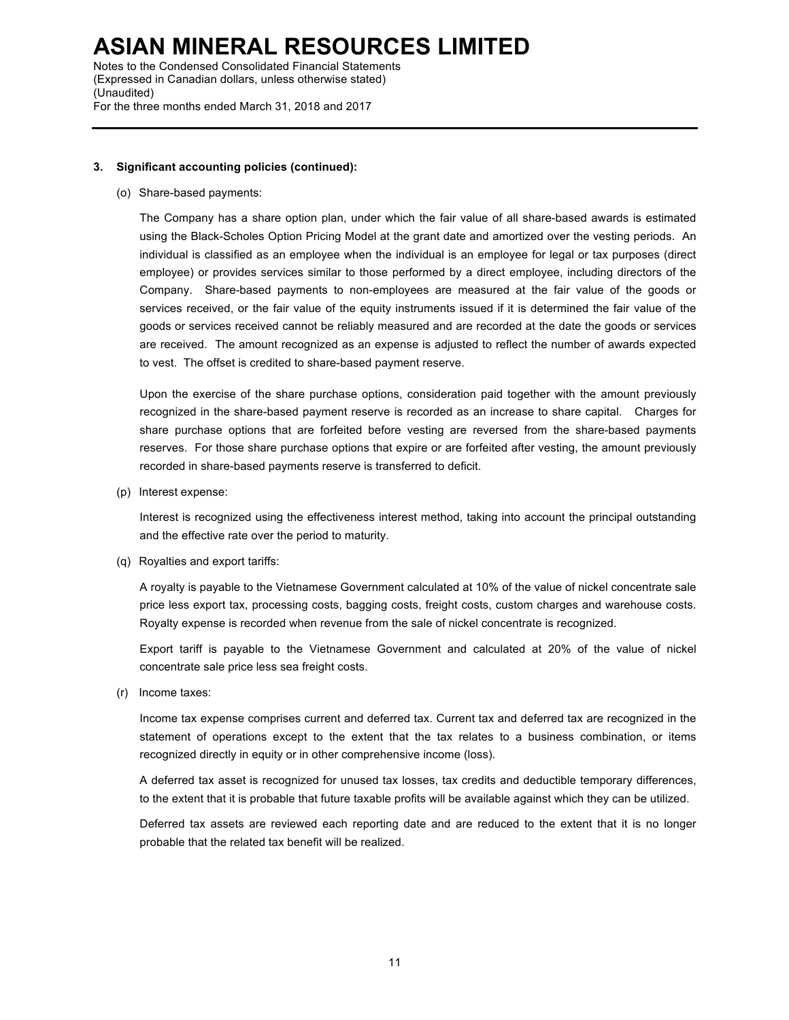Notes to the Condensed Consolidated Financial Statements (Expressed in Canadian dollars, unless otherwise stated) (Unaudited) For the three months ended March 31, 2018 and 2017

# **3. Significant accounting policies (continued):**

(o) Share-based payments:

The Company has a share option plan, under which the fair value of all share-based awards is estimated using the Black-Scholes Option Pricing Model at the grant date and amortized over the vesting periods. An individual is classified as an employee when the individual is an employee for legal or tax purposes (direct employee) or provides services similar to those performed by a direct employee, including directors of the Company. Share-based payments to non-employees are measured at the fair value of the goods or services received, or the fair value of the equity instruments issued if it is determined the fair value of the goods or services received cannot be reliably measured and are recorded at the date the goods or services are received. The amount recognized as an expense is adjusted to reflect the number of awards expected to vest. The offset is credited to share-based payment reserve.

Upon the exercise of the share purchase options, consideration paid together with the amount previously recognized in the share-based payment reserve is recorded as an increase to share capital. Charges for share purchase options that are forfeited before vesting are reversed from the share-based payments reserves. For those share purchase options that expire or are forfeited after vesting, the amount previously recorded in share-based payments reserve is transferred to deficit.

(p) Interest expense:

Interest is recognized using the effectiveness interest method, taking into account the principal outstanding and the effective rate over the period to maturity.

(q) Royalties and export tariffs:

A royalty is payable to the Vietnamese Government calculated at 10% of the value of nickel concentrate sale price less export tax, processing costs, bagging costs, freight costs, custom charges and warehouse costs. Royalty expense is recorded when revenue from the sale of nickel concentrate is recognized.

Export tariff is payable to the Vietnamese Government and calculated at 20% of the value of nickel concentrate sale price less sea freight costs.

(r) Income taxes:

Income tax expense comprises current and deferred tax. Current tax and deferred tax are recognized in the statement of operations except to the extent that the tax relates to a business combination, or items recognized directly in equity or in other comprehensive income (loss).

A deferred tax asset is recognized for unused tax losses, tax credits and deductible temporary differences, to the extent that it is probable that future taxable profits will be available against which they can be utilized.

Deferred tax assets are reviewed each reporting date and are reduced to the extent that it is no longer probable that the related tax benefit will be realized.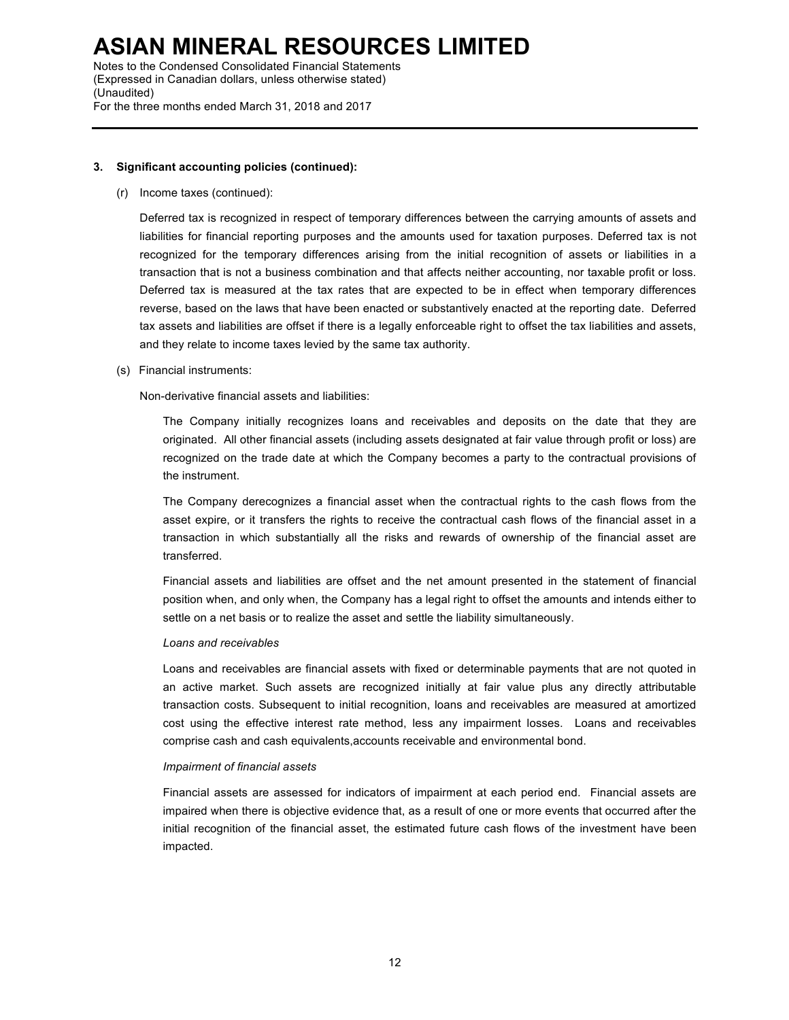Notes to the Condensed Consolidated Financial Statements (Expressed in Canadian dollars, unless otherwise stated) (Unaudited) For the three months ended March 31, 2018 and 2017

# **3. Significant accounting policies (continued):**

(r) Income taxes (continued):

Deferred tax is recognized in respect of temporary differences between the carrying amounts of assets and liabilities for financial reporting purposes and the amounts used for taxation purposes. Deferred tax is not recognized for the temporary differences arising from the initial recognition of assets or liabilities in a transaction that is not a business combination and that affects neither accounting, nor taxable profit or loss. Deferred tax is measured at the tax rates that are expected to be in effect when temporary differences reverse, based on the laws that have been enacted or substantively enacted at the reporting date. Deferred tax assets and liabilities are offset if there is a legally enforceable right to offset the tax liabilities and assets, and they relate to income taxes levied by the same tax authority.

(s) Financial instruments:

Non-derivative financial assets and liabilities:

The Company initially recognizes loans and receivables and deposits on the date that they are originated. All other financial assets (including assets designated at fair value through profit or loss) are recognized on the trade date at which the Company becomes a party to the contractual provisions of the instrument.

The Company derecognizes a financial asset when the contractual rights to the cash flows from the asset expire, or it transfers the rights to receive the contractual cash flows of the financial asset in a transaction in which substantially all the risks and rewards of ownership of the financial asset are transferred.

Financial assets and liabilities are offset and the net amount presented in the statement of financial position when, and only when, the Company has a legal right to offset the amounts and intends either to settle on a net basis or to realize the asset and settle the liability simultaneously.

### *Loans and receivables*

Loans and receivables are financial assets with fixed or determinable payments that are not quoted in an active market. Such assets are recognized initially at fair value plus any directly attributable transaction costs. Subsequent to initial recognition, loans and receivables are measured at amortized cost using the effective interest rate method, less any impairment losses. Loans and receivables comprise cash and cash equivalents,accounts receivable and environmental bond.

### *Impairment of financial assets*

Financial assets are assessed for indicators of impairment at each period end. Financial assets are impaired when there is objective evidence that, as a result of one or more events that occurred after the initial recognition of the financial asset, the estimated future cash flows of the investment have been impacted.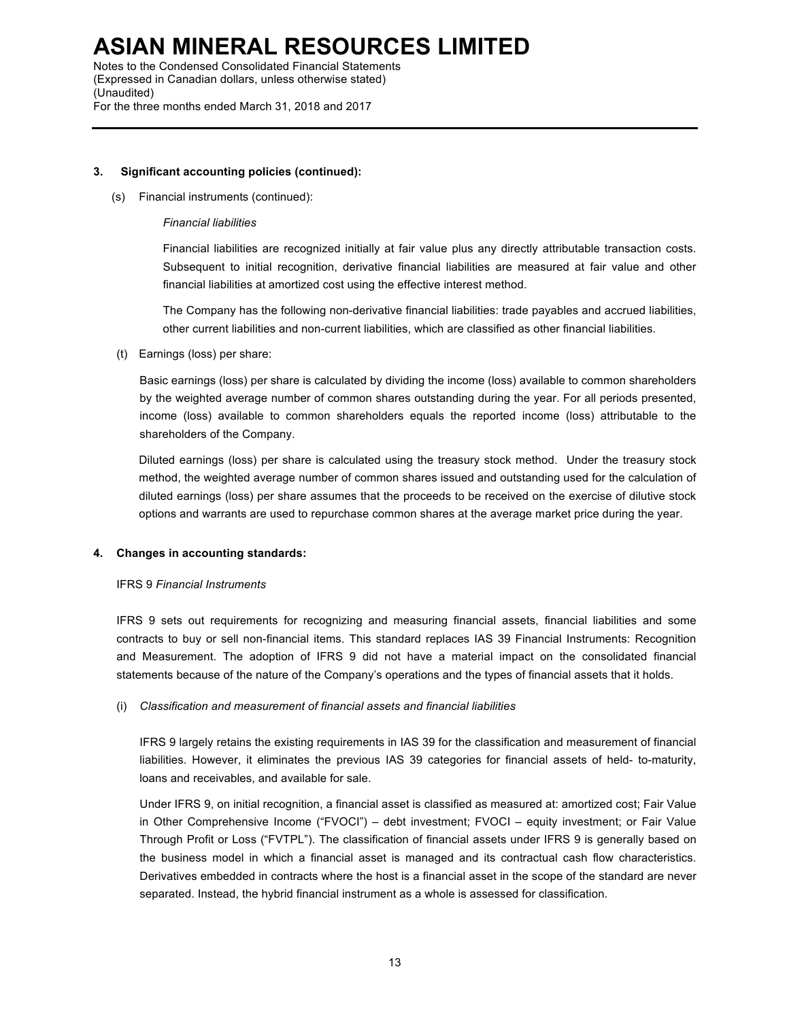Notes to the Condensed Consolidated Financial Statements (Expressed in Canadian dollars, unless otherwise stated) (Unaudited) For the three months ended March 31, 2018 and 2017

# **3. Significant accounting policies (continued):**

(s) Financial instruments (continued):

# *Financial liabilities*

Financial liabilities are recognized initially at fair value plus any directly attributable transaction costs. Subsequent to initial recognition, derivative financial liabilities are measured at fair value and other financial liabilities at amortized cost using the effective interest method.

The Company has the following non-derivative financial liabilities: trade payables and accrued liabilities, other current liabilities and non-current liabilities, which are classified as other financial liabilities.

(t) Earnings (loss) per share:

Basic earnings (loss) per share is calculated by dividing the income (loss) available to common shareholders by the weighted average number of common shares outstanding during the year. For all periods presented, income (loss) available to common shareholders equals the reported income (loss) attributable to the shareholders of the Company.

Diluted earnings (loss) per share is calculated using the treasury stock method. Under the treasury stock method, the weighted average number of common shares issued and outstanding used for the calculation of diluted earnings (loss) per share assumes that the proceeds to be received on the exercise of dilutive stock options and warrants are used to repurchase common shares at the average market price during the year.

### **4. Changes in accounting standards:**

### IFRS 9 *Financial Instruments*

IFRS 9 sets out requirements for recognizing and measuring financial assets, financial liabilities and some contracts to buy or sell non-financial items. This standard replaces IAS 39 Financial Instruments: Recognition and Measurement. The adoption of IFRS 9 did not have a material impact on the consolidated financial statements because of the nature of the Company's operations and the types of financial assets that it holds.

# (i) *Classification and measurement of financial assets and financial liabilities*

IFRS 9 largely retains the existing requirements in IAS 39 for the classification and measurement of financial liabilities. However, it eliminates the previous IAS 39 categories for financial assets of held- to-maturity, loans and receivables, and available for sale.

Under IFRS 9, on initial recognition, a financial asset is classified as measured at: amortized cost; Fair Value in Other Comprehensive Income ("FVOCI") – debt investment; FVOCI – equity investment; or Fair Value Through Profit or Loss ("FVTPL"). The classification of financial assets under IFRS 9 is generally based on the business model in which a financial asset is managed and its contractual cash flow characteristics. Derivatives embedded in contracts where the host is a financial asset in the scope of the standard are never separated. Instead, the hybrid financial instrument as a whole is assessed for classification.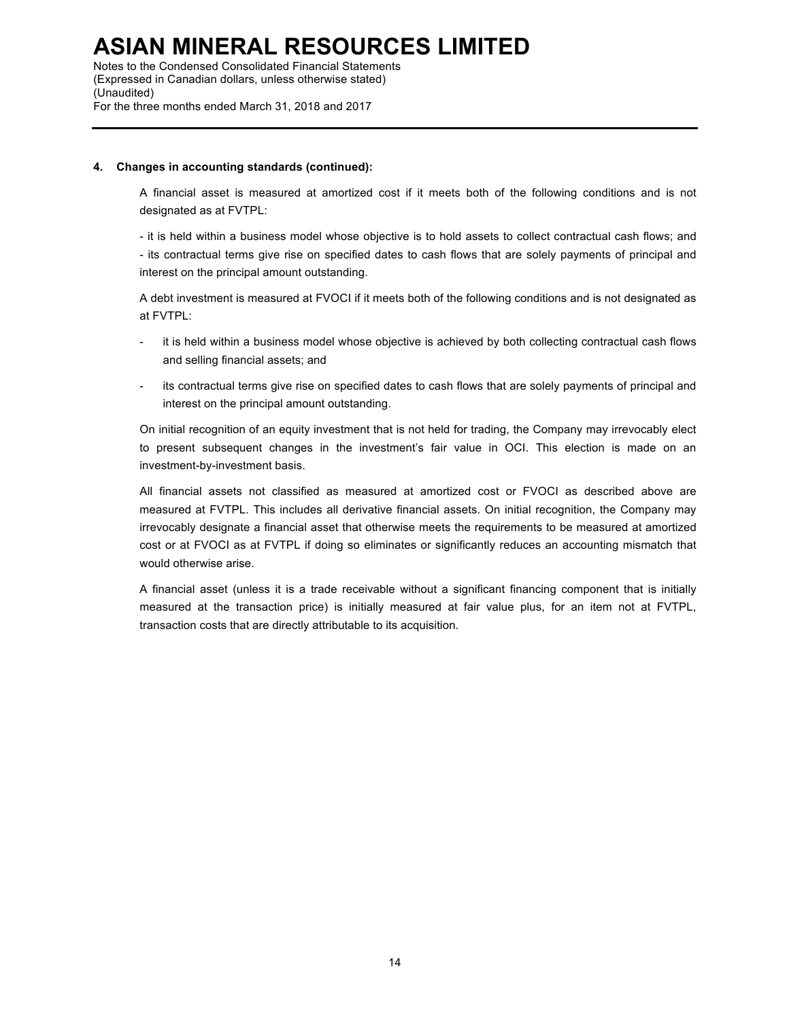Notes to the Condensed Consolidated Financial Statements (Expressed in Canadian dollars, unless otherwise stated) (Unaudited) For the three months ended March 31, 2018 and 2017

### **4. Changes in accounting standards (continued):**

A financial asset is measured at amortized cost if it meets both of the following conditions and is not designated as at FVTPL:

- it is held within a business model whose objective is to hold assets to collect contractual cash flows; and - its contractual terms give rise on specified dates to cash flows that are solely payments of principal and interest on the principal amount outstanding.

A debt investment is measured at FVOCI if it meets both of the following conditions and is not designated as at FVTPL:

- it is held within a business model whose objective is achieved by both collecting contractual cash flows and selling financial assets; and
- its contractual terms give rise on specified dates to cash flows that are solely payments of principal and interest on the principal amount outstanding.

On initial recognition of an equity investment that is not held for trading, the Company may irrevocably elect to present subsequent changes in the investment's fair value in OCI. This election is made on an investment-by-investment basis.

All financial assets not classified as measured at amortized cost or FVOCI as described above are measured at FVTPL. This includes all derivative financial assets. On initial recognition, the Company may irrevocably designate a financial asset that otherwise meets the requirements to be measured at amortized cost or at FVOCI as at FVTPL if doing so eliminates or significantly reduces an accounting mismatch that would otherwise arise.

A financial asset (unless it is a trade receivable without a significant financing component that is initially measured at the transaction price) is initially measured at fair value plus, for an item not at FVTPL, transaction costs that are directly attributable to its acquisition.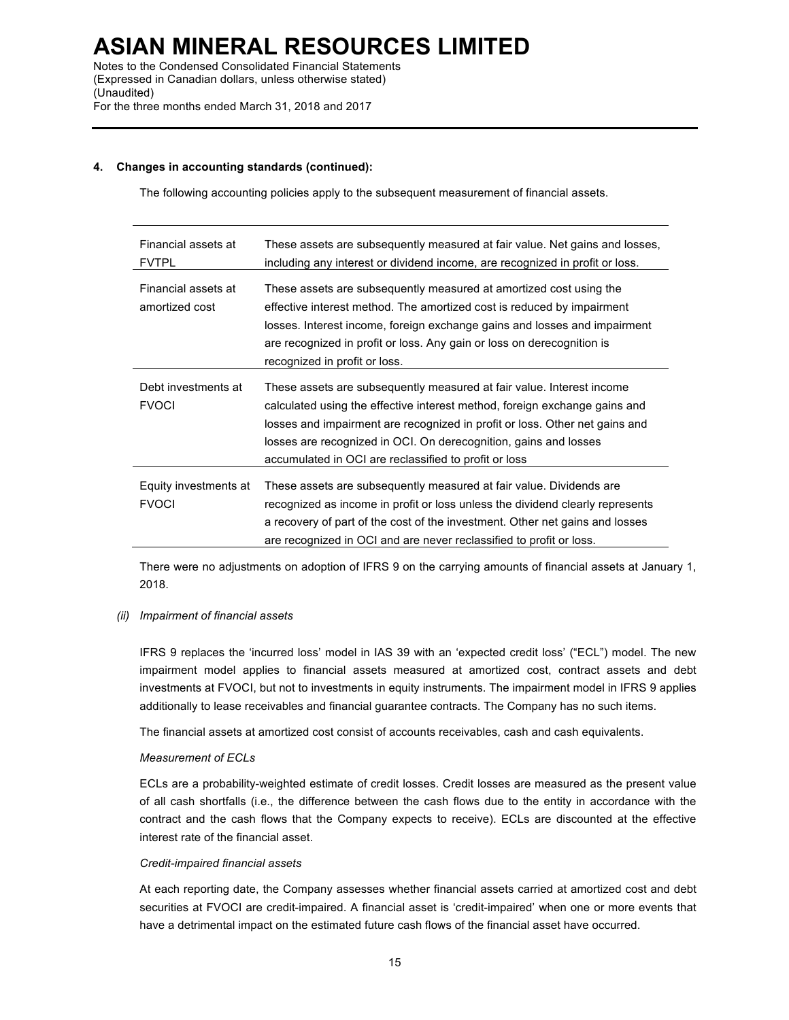# **4. Changes in accounting standards (continued):**

The following accounting policies apply to the subsequent measurement of financial assets.

| Financial assets at<br><b>FVTPL</b>   | These assets are subsequently measured at fair value. Net gains and losses,<br>including any interest or dividend income, are recognized in profit or loss.                                                                                                                                                                                                     |
|---------------------------------------|-----------------------------------------------------------------------------------------------------------------------------------------------------------------------------------------------------------------------------------------------------------------------------------------------------------------------------------------------------------------|
| Financial assets at<br>amortized cost | These assets are subsequently measured at amortized cost using the<br>effective interest method. The amortized cost is reduced by impairment<br>losses. Interest income, foreign exchange gains and losses and impairment<br>are recognized in profit or loss. Any gain or loss on derecognition is<br>recognized in profit or loss.                            |
| Debt investments at<br><b>FVOCI</b>   | These assets are subsequently measured at fair value. Interest income<br>calculated using the effective interest method, foreign exchange gains and<br>losses and impairment are recognized in profit or loss. Other net gains and<br>losses are recognized in OCI. On derecognition, gains and losses<br>accumulated in OCI are reclassified to profit or loss |
| Equity investments at<br><b>FVOCI</b> | These assets are subsequently measured at fair value. Dividends are<br>recognized as income in profit or loss unless the dividend clearly represents<br>a recovery of part of the cost of the investment. Other net gains and losses<br>are recognized in OCI and are never reclassified to profit or loss.                                                     |

There were no adjustments on adoption of IFRS 9 on the carrying amounts of financial assets at January 1, 2018.

# *(ii) Impairment of financial assets*

IFRS 9 replaces the 'incurred loss' model in IAS 39 with an 'expected credit loss' ("ECL") model. The new impairment model applies to financial assets measured at amortized cost, contract assets and debt investments at FVOCI, but not to investments in equity instruments. The impairment model in IFRS 9 applies additionally to lease receivables and financial guarantee contracts. The Company has no such items.

The financial assets at amortized cost consist of accounts receivables, cash and cash equivalents.

# *Measurement of ECLs*

ECLs are a probability-weighted estimate of credit losses. Credit losses are measured as the present value of all cash shortfalls (i.e., the difference between the cash flows due to the entity in accordance with the contract and the cash flows that the Company expects to receive). ECLs are discounted at the effective interest rate of the financial asset.

### *Credit-impaired financial assets*

At each reporting date, the Company assesses whether financial assets carried at amortized cost and debt securities at FVOCI are credit-impaired. A financial asset is 'credit-impaired' when one or more events that have a detrimental impact on the estimated future cash flows of the financial asset have occurred.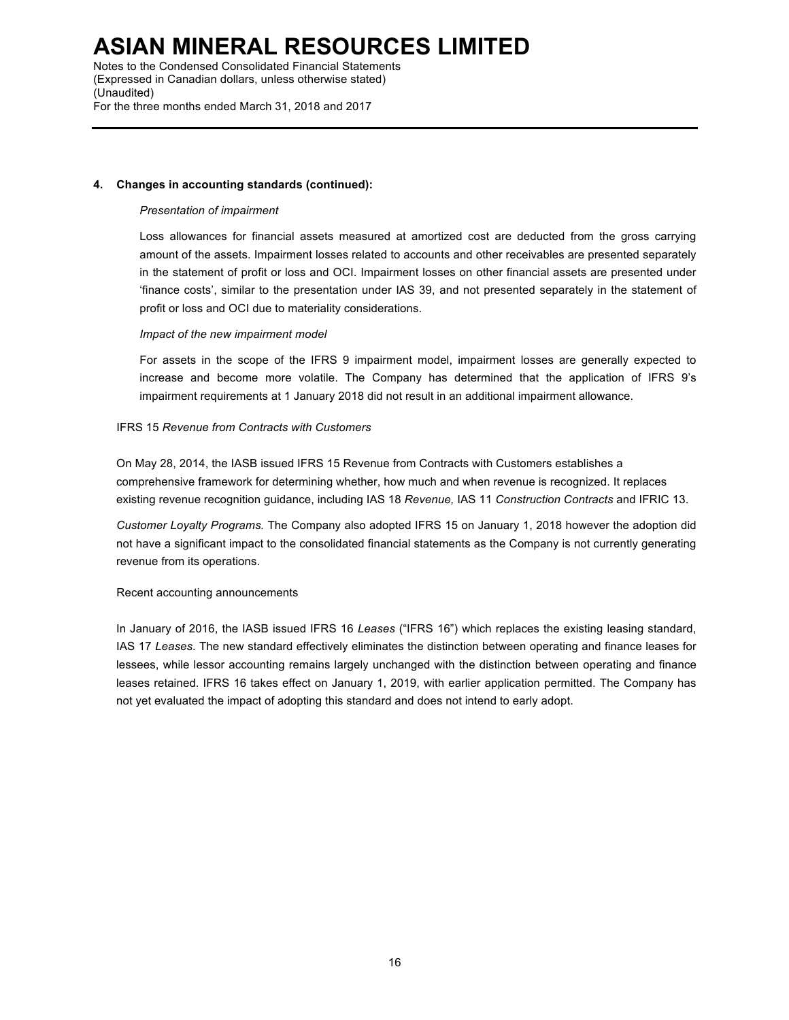Notes to the Condensed Consolidated Financial Statements (Expressed in Canadian dollars, unless otherwise stated) (Unaudited) For the three months ended March 31, 2018 and 2017

# **4. Changes in accounting standards (continued):**

# *Presentation of impairment*

Loss allowances for financial assets measured at amortized cost are deducted from the gross carrying amount of the assets. Impairment losses related to accounts and other receivables are presented separately in the statement of profit or loss and OCI. Impairment losses on other financial assets are presented under 'finance costs', similar to the presentation under IAS 39, and not presented separately in the statement of profit or loss and OCI due to materiality considerations.

# *Impact of the new impairment model*

For assets in the scope of the IFRS 9 impairment model, impairment losses are generally expected to increase and become more volatile. The Company has determined that the application of IFRS 9's impairment requirements at 1 January 2018 did not result in an additional impairment allowance.

# IFRS 15 *Revenue from Contracts with Customers*

On May 28, 2014, the IASB issued IFRS 15 Revenue from Contracts with Customers establishes a comprehensive framework for determining whether, how much and when revenue is recognized. It replaces existing revenue recognition guidance, including IAS 18 *Revenue,* IAS 11 *Construction Contracts* and IFRIC 13.

*Customer Loyalty Programs.* The Company also adopted IFRS 15 on January 1, 2018 however the adoption did not have a significant impact to the consolidated financial statements as the Company is not currently generating revenue from its operations.

### Recent accounting announcements

In January of 2016, the IASB issued IFRS 16 *Leases* ("IFRS 16") which replaces the existing leasing standard, IAS 17 *Leases*. The new standard effectively eliminates the distinction between operating and finance leases for lessees, while lessor accounting remains largely unchanged with the distinction between operating and finance leases retained. IFRS 16 takes effect on January 1, 2019, with earlier application permitted. The Company has not yet evaluated the impact of adopting this standard and does not intend to early adopt.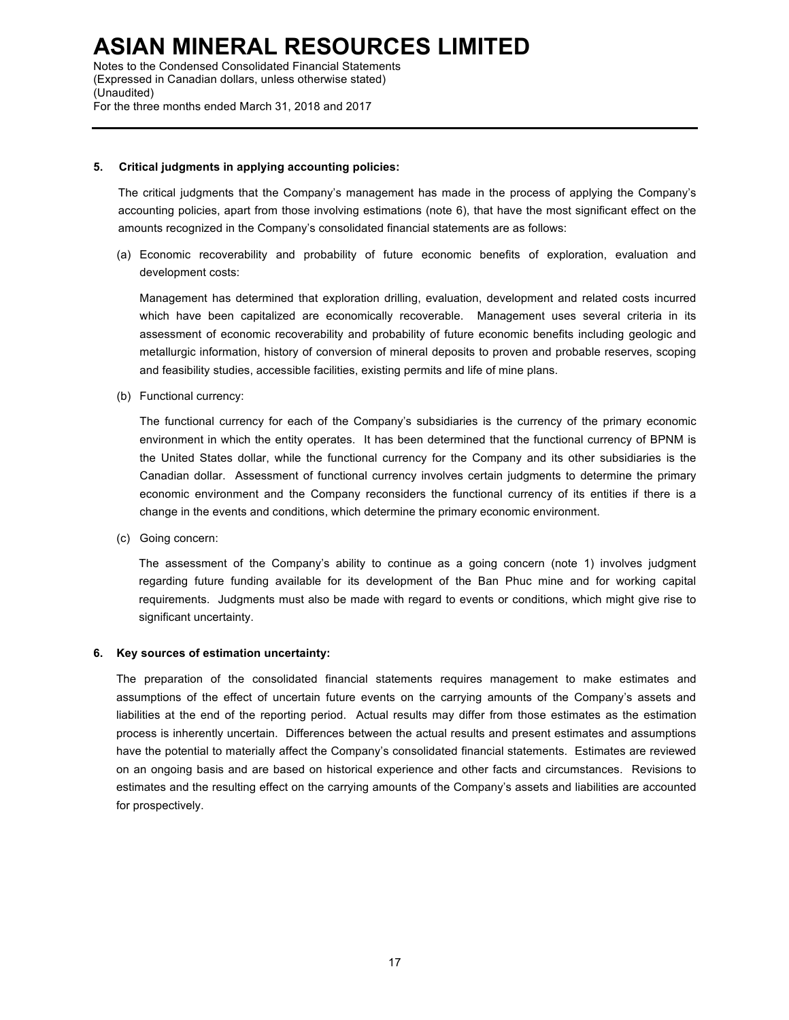Notes to the Condensed Consolidated Financial Statements (Expressed in Canadian dollars, unless otherwise stated) (Unaudited) For the three months ended March 31, 2018 and 2017

# **5. Critical judgments in applying accounting policies:**

The critical judgments that the Company's management has made in the process of applying the Company's accounting policies, apart from those involving estimations (note 6), that have the most significant effect on the amounts recognized in the Company's consolidated financial statements are as follows:

(a) Economic recoverability and probability of future economic benefits of exploration, evaluation and development costs:

Management has determined that exploration drilling, evaluation, development and related costs incurred which have been capitalized are economically recoverable. Management uses several criteria in its assessment of economic recoverability and probability of future economic benefits including geologic and metallurgic information, history of conversion of mineral deposits to proven and probable reserves, scoping and feasibility studies, accessible facilities, existing permits and life of mine plans.

(b) Functional currency:

The functional currency for each of the Company's subsidiaries is the currency of the primary economic environment in which the entity operates. It has been determined that the functional currency of BPNM is the United States dollar, while the functional currency for the Company and its other subsidiaries is the Canadian dollar. Assessment of functional currency involves certain judgments to determine the primary economic environment and the Company reconsiders the functional currency of its entities if there is a change in the events and conditions, which determine the primary economic environment.

(c) Going concern:

The assessment of the Company's ability to continue as a going concern (note 1) involves judgment regarding future funding available for its development of the Ban Phuc mine and for working capital requirements. Judgments must also be made with regard to events or conditions, which might give rise to significant uncertainty.

### **6. Key sources of estimation uncertainty:**

The preparation of the consolidated financial statements requires management to make estimates and assumptions of the effect of uncertain future events on the carrying amounts of the Company's assets and liabilities at the end of the reporting period. Actual results may differ from those estimates as the estimation process is inherently uncertain. Differences between the actual results and present estimates and assumptions have the potential to materially affect the Company's consolidated financial statements. Estimates are reviewed on an ongoing basis and are based on historical experience and other facts and circumstances. Revisions to estimates and the resulting effect on the carrying amounts of the Company's assets and liabilities are accounted for prospectively.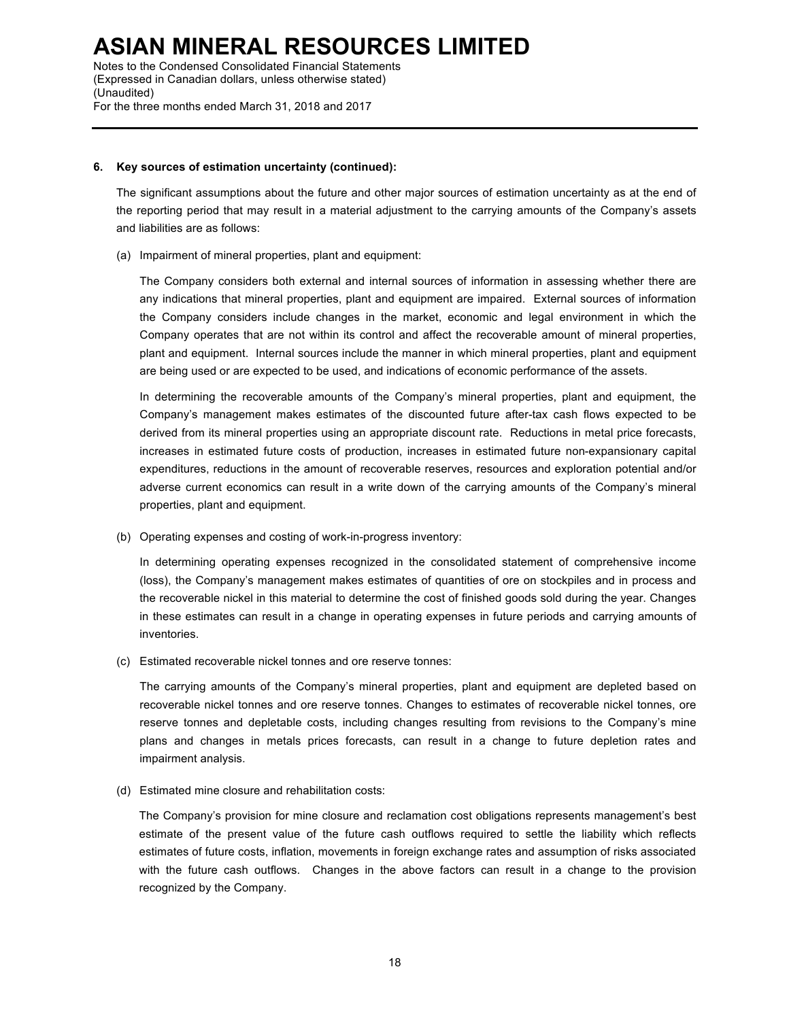Notes to the Condensed Consolidated Financial Statements (Expressed in Canadian dollars, unless otherwise stated) (Unaudited) For the three months ended March 31, 2018 and 2017

### **6. Key sources of estimation uncertainty (continued):**

The significant assumptions about the future and other major sources of estimation uncertainty as at the end of the reporting period that may result in a material adjustment to the carrying amounts of the Company's assets and liabilities are as follows:

(a) Impairment of mineral properties, plant and equipment:

The Company considers both external and internal sources of information in assessing whether there are any indications that mineral properties, plant and equipment are impaired. External sources of information the Company considers include changes in the market, economic and legal environment in which the Company operates that are not within its control and affect the recoverable amount of mineral properties, plant and equipment. Internal sources include the manner in which mineral properties, plant and equipment are being used or are expected to be used, and indications of economic performance of the assets.

In determining the recoverable amounts of the Company's mineral properties, plant and equipment, the Company's management makes estimates of the discounted future after-tax cash flows expected to be derived from its mineral properties using an appropriate discount rate. Reductions in metal price forecasts, increases in estimated future costs of production, increases in estimated future non-expansionary capital expenditures, reductions in the amount of recoverable reserves, resources and exploration potential and/or adverse current economics can result in a write down of the carrying amounts of the Company's mineral properties, plant and equipment.

(b) Operating expenses and costing of work-in-progress inventory:

In determining operating expenses recognized in the consolidated statement of comprehensive income (loss), the Company's management makes estimates of quantities of ore on stockpiles and in process and the recoverable nickel in this material to determine the cost of finished goods sold during the year. Changes in these estimates can result in a change in operating expenses in future periods and carrying amounts of inventories.

(c) Estimated recoverable nickel tonnes and ore reserve tonnes:

The carrying amounts of the Company's mineral properties, plant and equipment are depleted based on recoverable nickel tonnes and ore reserve tonnes. Changes to estimates of recoverable nickel tonnes, ore reserve tonnes and depletable costs, including changes resulting from revisions to the Company's mine plans and changes in metals prices forecasts, can result in a change to future depletion rates and impairment analysis.

(d) Estimated mine closure and rehabilitation costs:

The Company's provision for mine closure and reclamation cost obligations represents management's best estimate of the present value of the future cash outflows required to settle the liability which reflects estimates of future costs, inflation, movements in foreign exchange rates and assumption of risks associated with the future cash outflows. Changes in the above factors can result in a change to the provision recognized by the Company.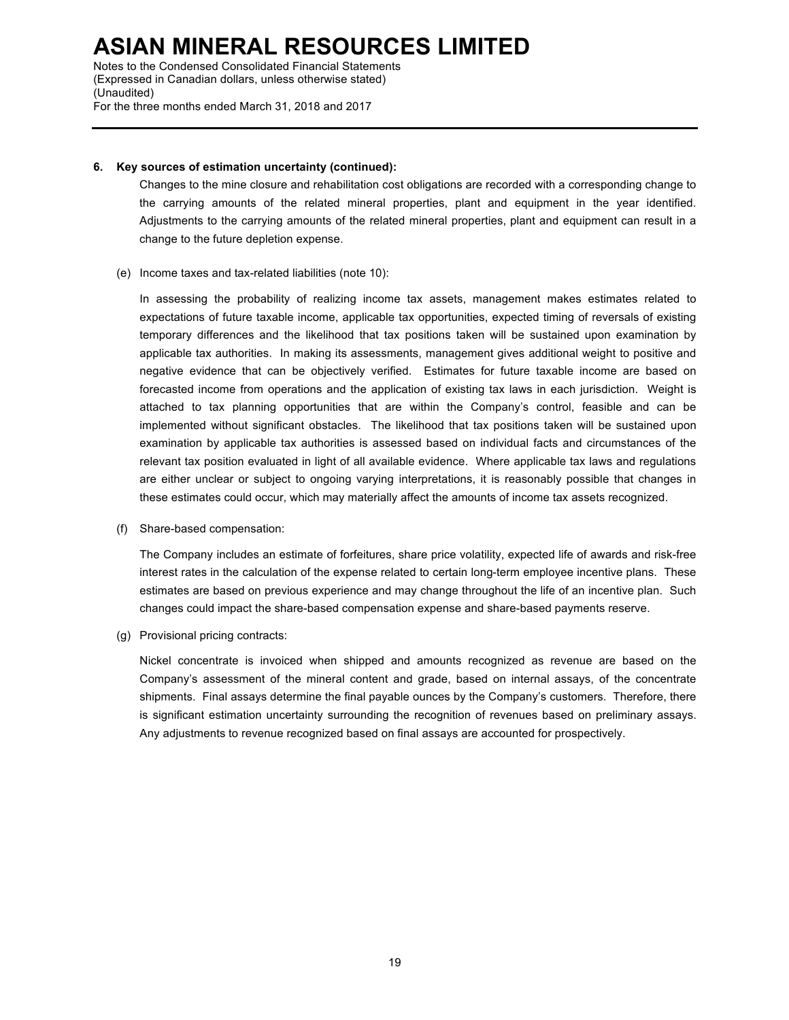Notes to the Condensed Consolidated Financial Statements (Expressed in Canadian dollars, unless otherwise stated) (Unaudited) For the three months ended March 31, 2018 and 2017

### **6. Key sources of estimation uncertainty (continued):**

Changes to the mine closure and rehabilitation cost obligations are recorded with a corresponding change to the carrying amounts of the related mineral properties, plant and equipment in the year identified. Adjustments to the carrying amounts of the related mineral properties, plant and equipment can result in a change to the future depletion expense.

#### (e) Income taxes and tax-related liabilities (note 10):

In assessing the probability of realizing income tax assets, management makes estimates related to expectations of future taxable income, applicable tax opportunities, expected timing of reversals of existing temporary differences and the likelihood that tax positions taken will be sustained upon examination by applicable tax authorities. In making its assessments, management gives additional weight to positive and negative evidence that can be objectively verified. Estimates for future taxable income are based on forecasted income from operations and the application of existing tax laws in each jurisdiction. Weight is attached to tax planning opportunities that are within the Company's control, feasible and can be implemented without significant obstacles. The likelihood that tax positions taken will be sustained upon examination by applicable tax authorities is assessed based on individual facts and circumstances of the relevant tax position evaluated in light of all available evidence. Where applicable tax laws and regulations are either unclear or subject to ongoing varying interpretations, it is reasonably possible that changes in these estimates could occur, which may materially affect the amounts of income tax assets recognized.

(f) Share-based compensation:

The Company includes an estimate of forfeitures, share price volatility, expected life of awards and risk-free interest rates in the calculation of the expense related to certain long-term employee incentive plans. These estimates are based on previous experience and may change throughout the life of an incentive plan. Such changes could impact the share-based compensation expense and share-based payments reserve.

(g) Provisional pricing contracts:

Nickel concentrate is invoiced when shipped and amounts recognized as revenue are based on the Company's assessment of the mineral content and grade, based on internal assays, of the concentrate shipments. Final assays determine the final payable ounces by the Company's customers. Therefore, there is significant estimation uncertainty surrounding the recognition of revenues based on preliminary assays. Any adjustments to revenue recognized based on final assays are accounted for prospectively.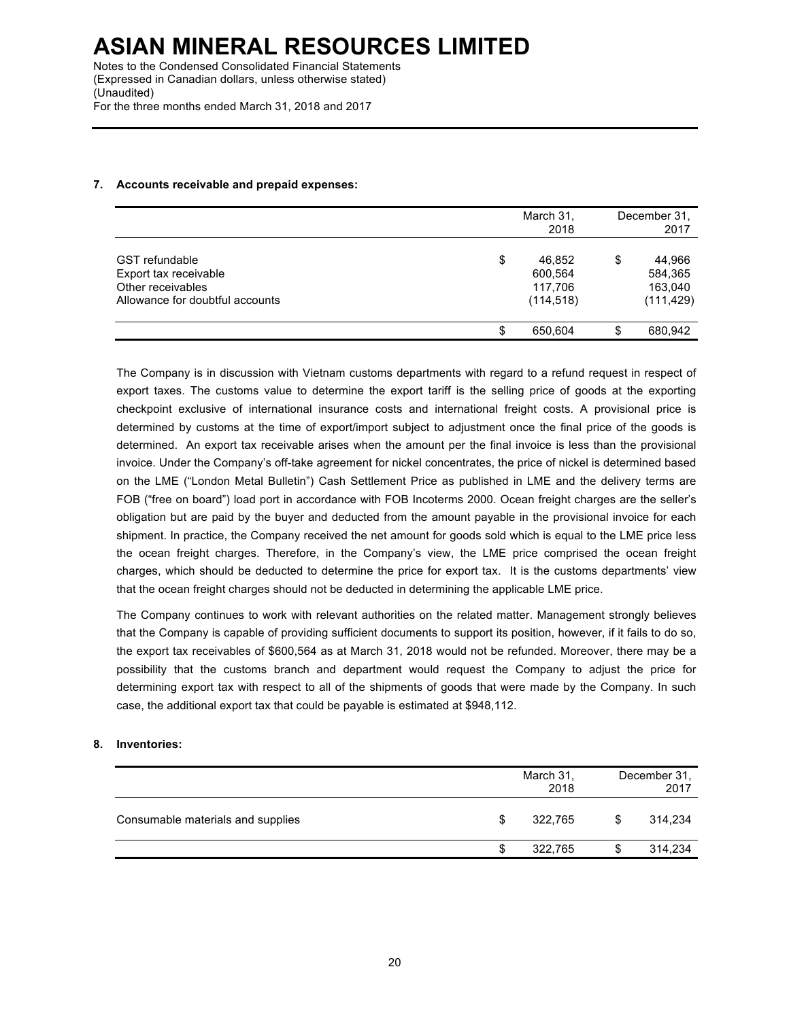# **7. Accounts receivable and prepaid expenses:**

|                                 | March 31,<br>2018 | December 31.<br>2017 |
|---------------------------------|-------------------|----------------------|
| <b>GST</b> refundable           | \$<br>46,852      | \$<br>44,966         |
| Export tax receivable           | 600,564           | 584,365              |
| Other receivables               | 117,706           | 163,040              |
| Allowance for doubtful accounts | (114, 518)        | (111, 429)           |
|                                 | 650,604           | \$<br>680,942        |

The Company is in discussion with Vietnam customs departments with regard to a refund request in respect of export taxes. The customs value to determine the export tariff is the selling price of goods at the exporting checkpoint exclusive of international insurance costs and international freight costs. A provisional price is determined by customs at the time of export/import subject to adjustment once the final price of the goods is determined. An export tax receivable arises when the amount per the final invoice is less than the provisional invoice. Under the Company's off-take agreement for nickel concentrates, the price of nickel is determined based on the LME ("London Metal Bulletin") Cash Settlement Price as published in LME and the delivery terms are FOB ("free on board") load port in accordance with FOB Incoterms 2000. Ocean freight charges are the seller's obligation but are paid by the buyer and deducted from the amount payable in the provisional invoice for each shipment. In practice, the Company received the net amount for goods sold which is equal to the LME price less the ocean freight charges. Therefore, in the Company's view, the LME price comprised the ocean freight charges, which should be deducted to determine the price for export tax. It is the customs departments' view that the ocean freight charges should not be deducted in determining the applicable LME price.

The Company continues to work with relevant authorities on the related matter. Management strongly believes that the Company is capable of providing sufficient documents to support its position, however, if it fails to do so, the export tax receivables of \$600,564 as at March 31, 2018 would not be refunded. Moreover, there may be a possibility that the customs branch and department would request the Company to adjust the price for determining export tax with respect to all of the shipments of goods that were made by the Company. In such case, the additional export tax that could be payable is estimated at \$948,112.

# **8. Inventories:**

|                                   |   | March 31,<br>2018 |   | December 31.<br>2017 |
|-----------------------------------|---|-------------------|---|----------------------|
| Consumable materials and supplies | S | 322.765           | S | 314,234              |
|                                   | S | 322,765           | S | 314,234              |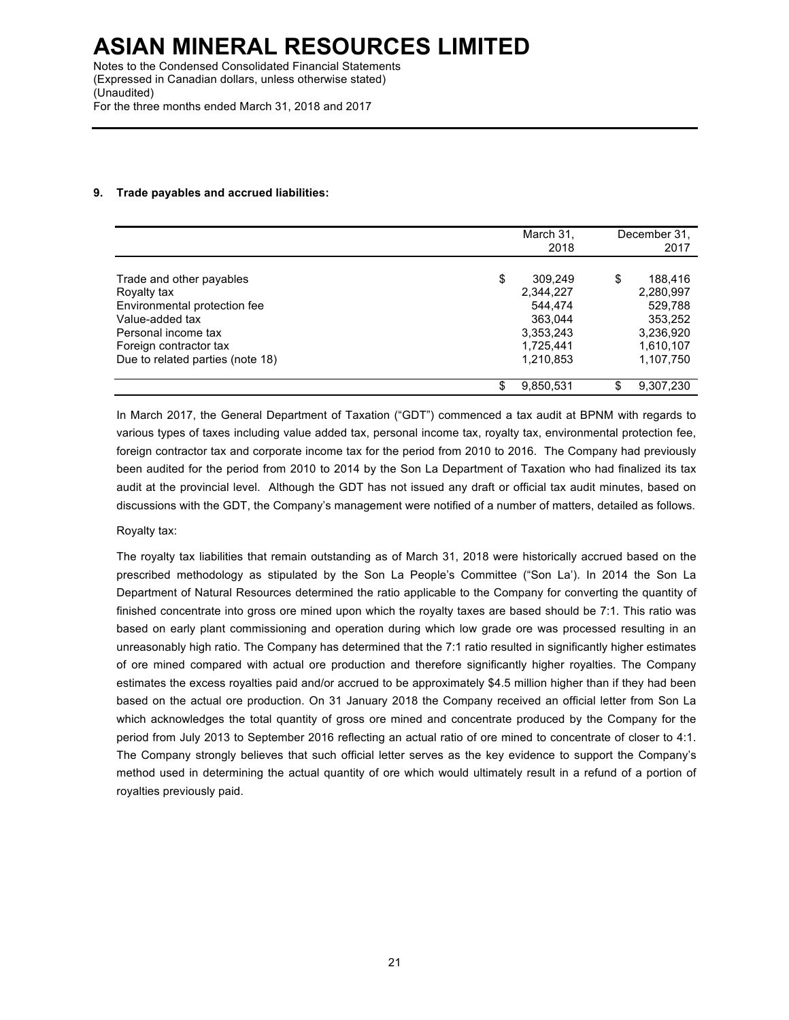# **9. Trade payables and accrued liabilities:**

|                                  |    | March 31, |    | December 31, |
|----------------------------------|----|-----------|----|--------------|
|                                  |    | 2018      |    | 2017         |
| Trade and other payables         | \$ | 309,249   | \$ | 188.416      |
| Royalty tax                      |    | 2,344,227 |    | 2,280,997    |
| Environmental protection fee     |    | 544.474   |    | 529,788      |
| Value-added tax                  |    | 363.044   |    | 353,252      |
| Personal income tax              |    | 3,353,243 |    | 3,236,920    |
| Foreign contractor tax           |    | 1.725.441 |    | 1,610,107    |
| Due to related parties (note 18) |    | 1.210.853 |    | 1,107,750    |
|                                  | S  | 9,850,531 | S  | 9,307,230    |

In March 2017, the General Department of Taxation ("GDT") commenced a tax audit at BPNM with regards to various types of taxes including value added tax, personal income tax, royalty tax, environmental protection fee, foreign contractor tax and corporate income tax for the period from 2010 to 2016. The Company had previously been audited for the period from 2010 to 2014 by the Son La Department of Taxation who had finalized its tax audit at the provincial level. Although the GDT has not issued any draft or official tax audit minutes, based on discussions with the GDT, the Company's management were notified of a number of matters, detailed as follows.

# Royalty tax:

The royalty tax liabilities that remain outstanding as of March 31, 2018 were historically accrued based on the prescribed methodology as stipulated by the Son La People's Committee ("Son La'). In 2014 the Son La Department of Natural Resources determined the ratio applicable to the Company for converting the quantity of finished concentrate into gross ore mined upon which the royalty taxes are based should be 7:1. This ratio was based on early plant commissioning and operation during which low grade ore was processed resulting in an unreasonably high ratio. The Company has determined that the 7:1 ratio resulted in significantly higher estimates of ore mined compared with actual ore production and therefore significantly higher royalties. The Company estimates the excess royalties paid and/or accrued to be approximately \$4.5 million higher than if they had been based on the actual ore production. On 31 January 2018 the Company received an official letter from Son La which acknowledges the total quantity of gross ore mined and concentrate produced by the Company for the period from July 2013 to September 2016 reflecting an actual ratio of ore mined to concentrate of closer to 4:1. The Company strongly believes that such official letter serves as the key evidence to support the Company's method used in determining the actual quantity of ore which would ultimately result in a refund of a portion of royalties previously paid.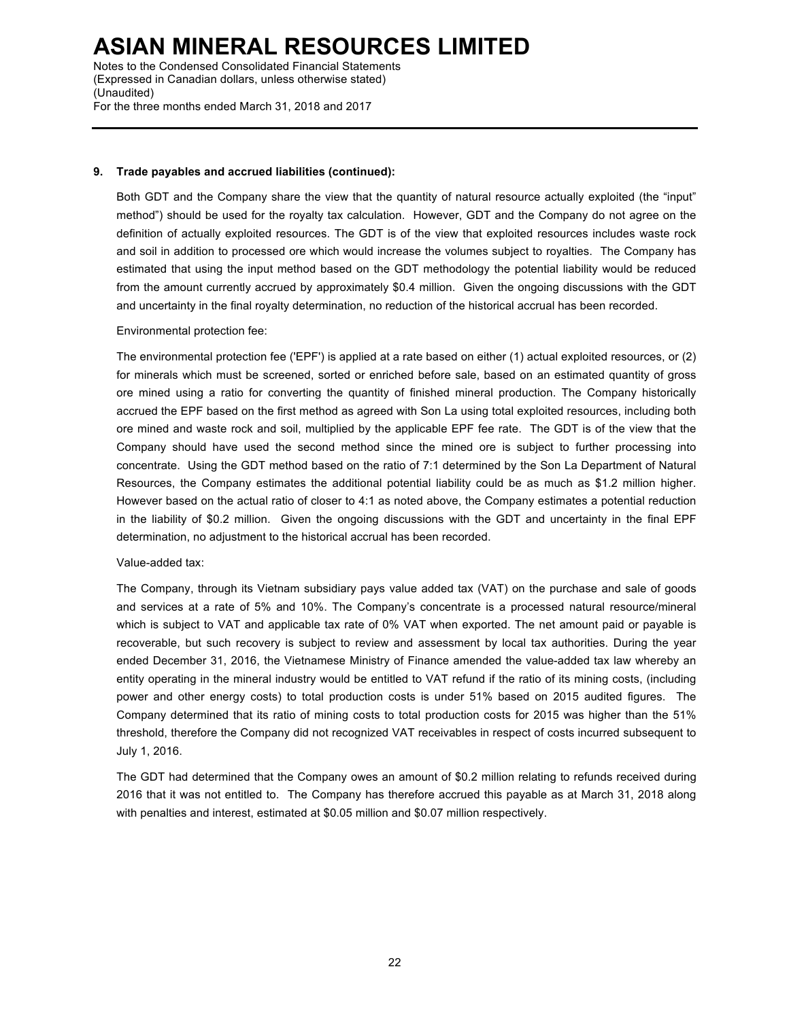Notes to the Condensed Consolidated Financial Statements (Expressed in Canadian dollars, unless otherwise stated) (Unaudited) For the three months ended March 31, 2018 and 2017

#### **9. Trade payables and accrued liabilities (continued):**

Both GDT and the Company share the view that the quantity of natural resource actually exploited (the "input" method") should be used for the royalty tax calculation. However, GDT and the Company do not agree on the definition of actually exploited resources. The GDT is of the view that exploited resources includes waste rock and soil in addition to processed ore which would increase the volumes subject to royalties. The Company has estimated that using the input method based on the GDT methodology the potential liability would be reduced from the amount currently accrued by approximately \$0.4 million. Given the ongoing discussions with the GDT and uncertainty in the final royalty determination, no reduction of the historical accrual has been recorded.

#### Environmental protection fee:

The environmental protection fee ('EPF') is applied at a rate based on either (1) actual exploited resources, or (2) for minerals which must be screened, sorted or enriched before sale, based on an estimated quantity of gross ore mined using a ratio for converting the quantity of finished mineral production. The Company historically accrued the EPF based on the first method as agreed with Son La using total exploited resources, including both ore mined and waste rock and soil, multiplied by the applicable EPF fee rate. The GDT is of the view that the Company should have used the second method since the mined ore is subject to further processing into concentrate. Using the GDT method based on the ratio of 7:1 determined by the Son La Department of Natural Resources, the Company estimates the additional potential liability could be as much as \$1.2 million higher. However based on the actual ratio of closer to 4:1 as noted above, the Company estimates a potential reduction in the liability of \$0.2 million. Given the ongoing discussions with the GDT and uncertainty in the final EPF determination, no adjustment to the historical accrual has been recorded.

### Value-added tax:

The Company, through its Vietnam subsidiary pays value added tax (VAT) on the purchase and sale of goods and services at a rate of 5% and 10%. The Company's concentrate is a processed natural resource/mineral which is subject to VAT and applicable tax rate of 0% VAT when exported. The net amount paid or payable is recoverable, but such recovery is subject to review and assessment by local tax authorities. During the year ended December 31, 2016, the Vietnamese Ministry of Finance amended the value-added tax law whereby an entity operating in the mineral industry would be entitled to VAT refund if the ratio of its mining costs, (including power and other energy costs) to total production costs is under 51% based on 2015 audited figures. The Company determined that its ratio of mining costs to total production costs for 2015 was higher than the 51% threshold, therefore the Company did not recognized VAT receivables in respect of costs incurred subsequent to July 1, 2016.

The GDT had determined that the Company owes an amount of \$0.2 million relating to refunds received during 2016 that it was not entitled to. The Company has therefore accrued this payable as at March 31, 2018 along with penalties and interest, estimated at \$0.05 million and \$0.07 million respectively.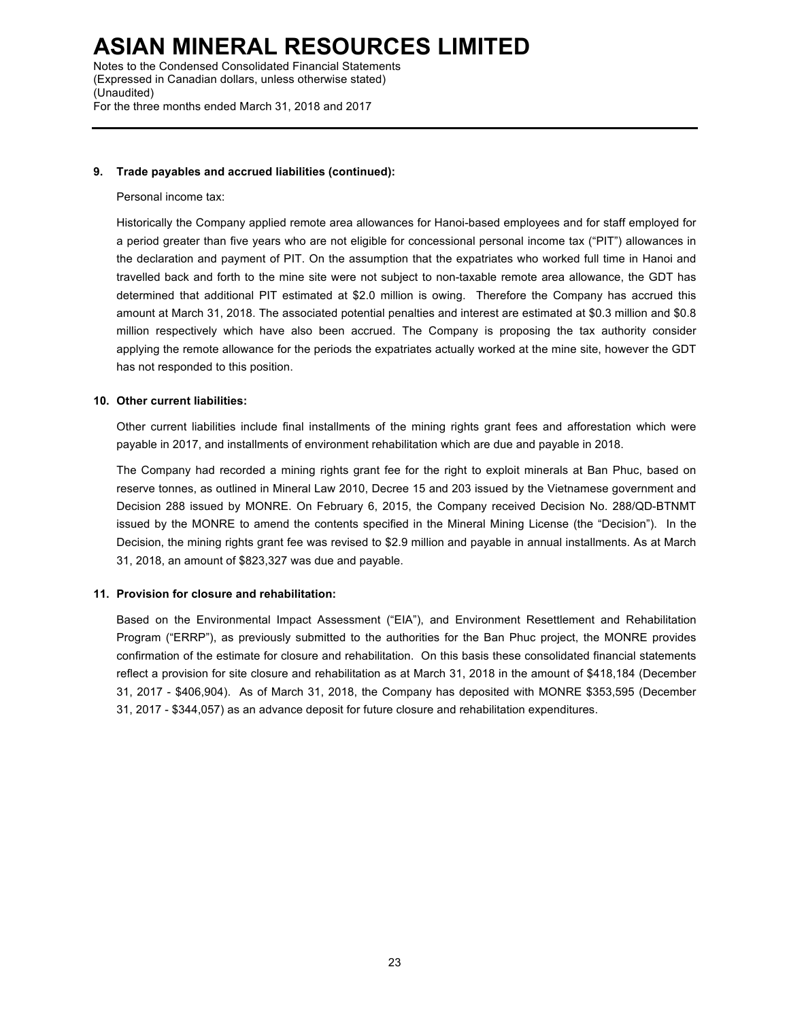Notes to the Condensed Consolidated Financial Statements (Expressed in Canadian dollars, unless otherwise stated) (Unaudited) For the three months ended March 31, 2018 and 2017

### **9. Trade payables and accrued liabilities (continued):**

#### Personal income tax:

Historically the Company applied remote area allowances for Hanoi-based employees and for staff employed for a period greater than five years who are not eligible for concessional personal income tax ("PIT") allowances in the declaration and payment of PIT. On the assumption that the expatriates who worked full time in Hanoi and travelled back and forth to the mine site were not subject to non-taxable remote area allowance, the GDT has determined that additional PIT estimated at \$2.0 million is owing. Therefore the Company has accrued this amount at March 31, 2018. The associated potential penalties and interest are estimated at \$0.3 million and \$0.8 million respectively which have also been accrued. The Company is proposing the tax authority consider applying the remote allowance for the periods the expatriates actually worked at the mine site, however the GDT has not responded to this position.

### **10. Other current liabilities:**

Other current liabilities include final installments of the mining rights grant fees and afforestation which were payable in 2017, and installments of environment rehabilitation which are due and payable in 2018.

The Company had recorded a mining rights grant fee for the right to exploit minerals at Ban Phuc, based on reserve tonnes, as outlined in Mineral Law 2010, Decree 15 and 203 issued by the Vietnamese government and Decision 288 issued by MONRE. On February 6, 2015, the Company received Decision No. 288/QD-BTNMT issued by the MONRE to amend the contents specified in the Mineral Mining License (the "Decision"). In the Decision, the mining rights grant fee was revised to \$2.9 million and payable in annual installments. As at March 31, 2018, an amount of \$823,327 was due and payable.

### **11. Provision for closure and rehabilitation:**

Based on the Environmental Impact Assessment ("EIA"), and Environment Resettlement and Rehabilitation Program ("ERRP"), as previously submitted to the authorities for the Ban Phuc project, the MONRE provides confirmation of the estimate for closure and rehabilitation. On this basis these consolidated financial statements reflect a provision for site closure and rehabilitation as at March 31, 2018 in the amount of \$418,184 (December 31, 2017 - \$406,904). As of March 31, 2018, the Company has deposited with MONRE \$353,595 (December 31, 2017 - \$344,057) as an advance deposit for future closure and rehabilitation expenditures.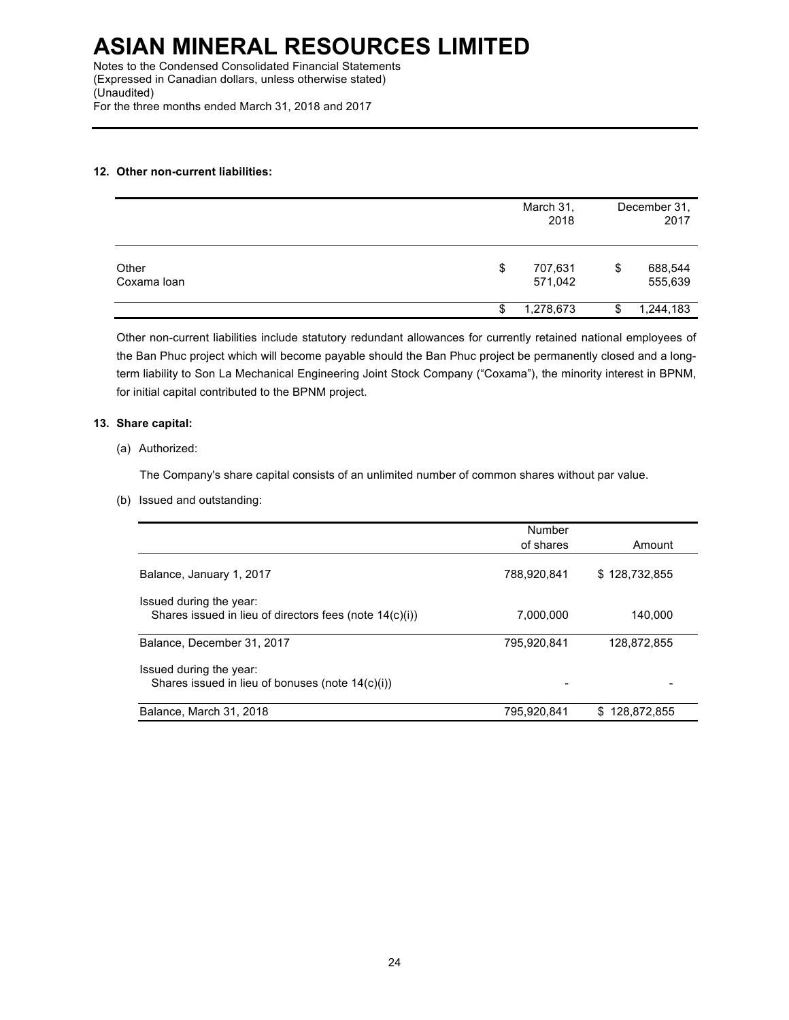# **12. Other non-current liabilities:**

|                      |    | March 31,<br>2018  | December 31,<br>2017     |
|----------------------|----|--------------------|--------------------------|
| Other<br>Coxama loan | \$ | 707,631<br>571,042 | \$<br>688,544<br>555,639 |
|                      | S  | 1,278,673          | \$<br>1,244,183          |

Other non-current liabilities include statutory redundant allowances for currently retained national employees of the Ban Phuc project which will become payable should the Ban Phuc project be permanently closed and a longterm liability to Son La Mechanical Engineering Joint Stock Company ("Coxama"), the minority interest in BPNM, for initial capital contributed to the BPNM project.

# **13. Share capital:**

### (a) Authorized:

The Company's share capital consists of an unlimited number of common shares without par value.

(b) Issued and outstanding:

|                                                                                    | Number      |               |
|------------------------------------------------------------------------------------|-------------|---------------|
|                                                                                    | of shares   | Amount        |
| Balance, January 1, 2017                                                           | 788.920.841 | \$128,732,855 |
| Issued during the year:<br>Shares issued in lieu of directors fees (note 14(c)(i)) | 7.000.000   | 140.000       |
| Balance, December 31, 2017                                                         | 795,920,841 | 128,872,855   |
| Issued during the year:<br>Shares issued in lieu of bonuses (note 14(c)(i))        |             |               |
| Balance, March 31, 2018                                                            | 795.920.841 | \$128.872.855 |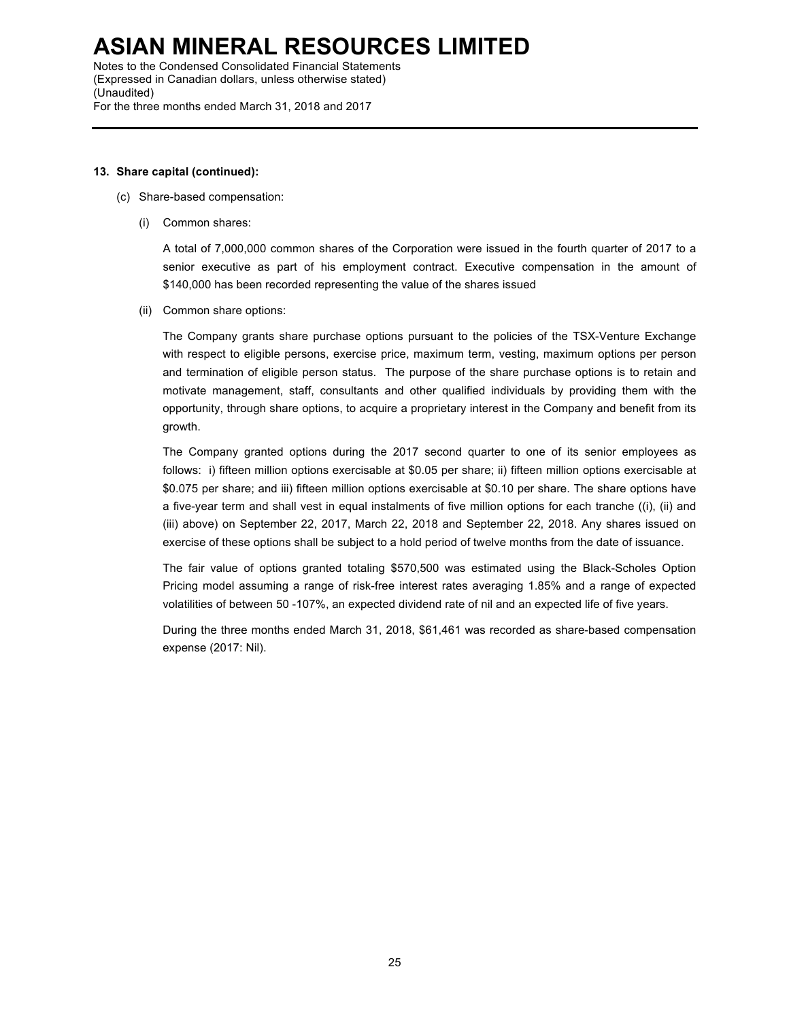Notes to the Condensed Consolidated Financial Statements (Expressed in Canadian dollars, unless otherwise stated) (Unaudited) For the three months ended March 31, 2018 and 2017

### **13. Share capital (continued):**

- (c) Share-based compensation:
	- (i) Common shares:

A total of 7,000,000 common shares of the Corporation were issued in the fourth quarter of 2017 to a senior executive as part of his employment contract. Executive compensation in the amount of \$140,000 has been recorded representing the value of the shares issued

(ii) Common share options:

The Company grants share purchase options pursuant to the policies of the TSX-Venture Exchange with respect to eligible persons, exercise price, maximum term, vesting, maximum options per person and termination of eligible person status. The purpose of the share purchase options is to retain and motivate management, staff, consultants and other qualified individuals by providing them with the opportunity, through share options, to acquire a proprietary interest in the Company and benefit from its growth.

The Company granted options during the 2017 second quarter to one of its senior employees as follows: i) fifteen million options exercisable at \$0.05 per share; ii) fifteen million options exercisable at \$0.075 per share; and iii) fifteen million options exercisable at \$0.10 per share. The share options have a five-year term and shall vest in equal instalments of five million options for each tranche ((i), (ii) and (iii) above) on September 22, 2017, March 22, 2018 and September 22, 2018. Any shares issued on exercise of these options shall be subject to a hold period of twelve months from the date of issuance.

The fair value of options granted totaling \$570,500 was estimated using the Black-Scholes Option Pricing model assuming a range of risk-free interest rates averaging 1.85% and a range of expected volatilities of between 50 -107%, an expected dividend rate of nil and an expected life of five years.

During the three months ended March 31, 2018, \$61,461 was recorded as share-based compensation expense (2017: Nil).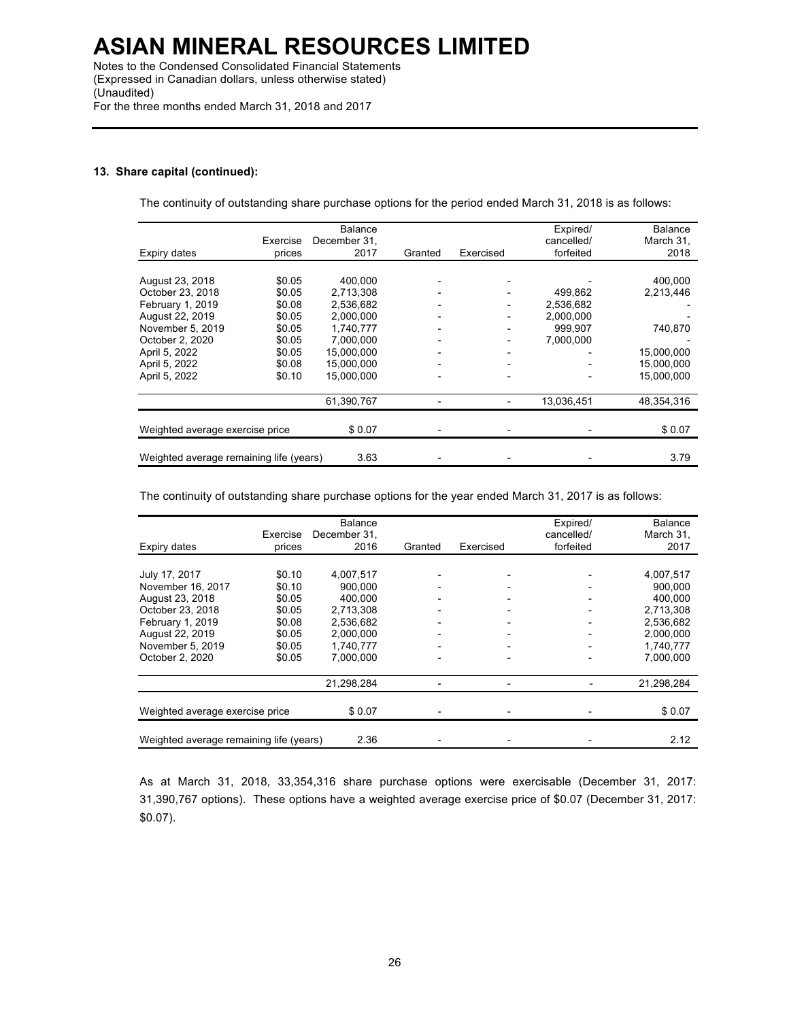Notes to the Condensed Consolidated Financial Statements (Expressed in Canadian dollars, unless otherwise stated) (Unaudited) For the three months ended March 31, 2018 and 2017

### **13. Share capital (continued):**

The continuity of outstanding share purchase options for the period ended March 31, 2018 is as follows:

|                                         |          | <b>Balance</b> |         |                          | Expired/   | <b>Balance</b> |
|-----------------------------------------|----------|----------------|---------|--------------------------|------------|----------------|
|                                         | Exercise | December 31,   |         |                          | cancelled/ | March 31,      |
| Expiry dates                            | prices   | 2017           | Granted | Exercised                | forfeited  | 2018           |
|                                         |          |                |         |                          |            |                |
| August 23, 2018                         | \$0.05   | 400.000        |         |                          |            | 400.000        |
| October 23, 2018                        | \$0.05   | 2,713,308      |         |                          | 499,862    | 2,213,446      |
| February 1, 2019                        | \$0.08   | 2.536.682      |         | -                        | 2.536.682  |                |
| August 22, 2019                         | \$0.05   | 2.000.000      |         | $\overline{\phantom{0}}$ | 2,000,000  |                |
| November 5, 2019                        | \$0.05   | 1,740,777      |         |                          | 999,907    | 740,870        |
| October 2, 2020                         | \$0.05   | 7,000,000      |         |                          | 7,000,000  |                |
| April 5, 2022                           | \$0.05   | 15,000,000     |         | $\overline{a}$           |            | 15,000,000     |
| April 5, 2022                           | \$0.08   | 15.000.000     |         | $\overline{\phantom{0}}$ |            | 15.000.000     |
| April 5, 2022                           | \$0.10   | 15,000,000     |         |                          |            | 15,000,000     |
|                                         |          | 61,390,767     |         |                          | 13,036,451 | 48.354.316     |
|                                         |          |                |         |                          |            |                |
| Weighted average exercise price         |          | \$0.07         |         |                          |            | \$0.07         |
|                                         |          |                |         |                          |            |                |
| Weighted average remaining life (years) |          | 3.63           |         |                          |            | 3.79           |

The continuity of outstanding share purchase options for the year ended March 31, 2017 is as follows:

| Expiry dates                            | Exercise<br>prices | Balance<br>December 31,<br>2016 | Granted | Exercised                | Expired/<br>cancelled/<br>forfeited | <b>Balance</b><br>March 31,<br>2017 |
|-----------------------------------------|--------------------|---------------------------------|---------|--------------------------|-------------------------------------|-------------------------------------|
|                                         |                    |                                 |         |                          |                                     |                                     |
| July 17, 2017                           | \$0.10             | 4.007.517                       |         |                          |                                     | 4,007,517                           |
| November 16, 2017                       | \$0.10             | 900.000                         |         |                          |                                     | 900.000                             |
| August 23, 2018                         | \$0.05             | 400.000                         |         |                          |                                     | 400.000                             |
| October 23, 2018                        | \$0.05             | 2,713,308                       |         |                          |                                     | 2,713,308                           |
| February 1, 2019                        | \$0.08             | 2,536,682                       |         |                          |                                     | 2,536,682                           |
| August 22, 2019                         | \$0.05             | 2,000,000                       |         | $\overline{\phantom{0}}$ | -                                   | 2,000,000                           |
| November 5, 2019                        | \$0.05             | 1.740.777                       |         | $\overline{\phantom{a}}$ | -                                   | 1,740,777                           |
| October 2, 2020                         | \$0.05             | 7.000.000                       |         |                          |                                     | 7,000,000                           |
|                                         |                    | 21,298,284                      |         |                          |                                     | 21,298,284                          |
| Weighted average exercise price         |                    | \$0.07                          |         |                          |                                     | \$0.07                              |
| Weighted average remaining life (years) | 2.36               |                                 |         |                          | 2.12                                |                                     |

As at March 31, 2018, 33,354,316 share purchase options were exercisable (December 31, 2017: 31,390,767 options). These options have a weighted average exercise price of \$0.07 (December 31, 2017: \$0.07).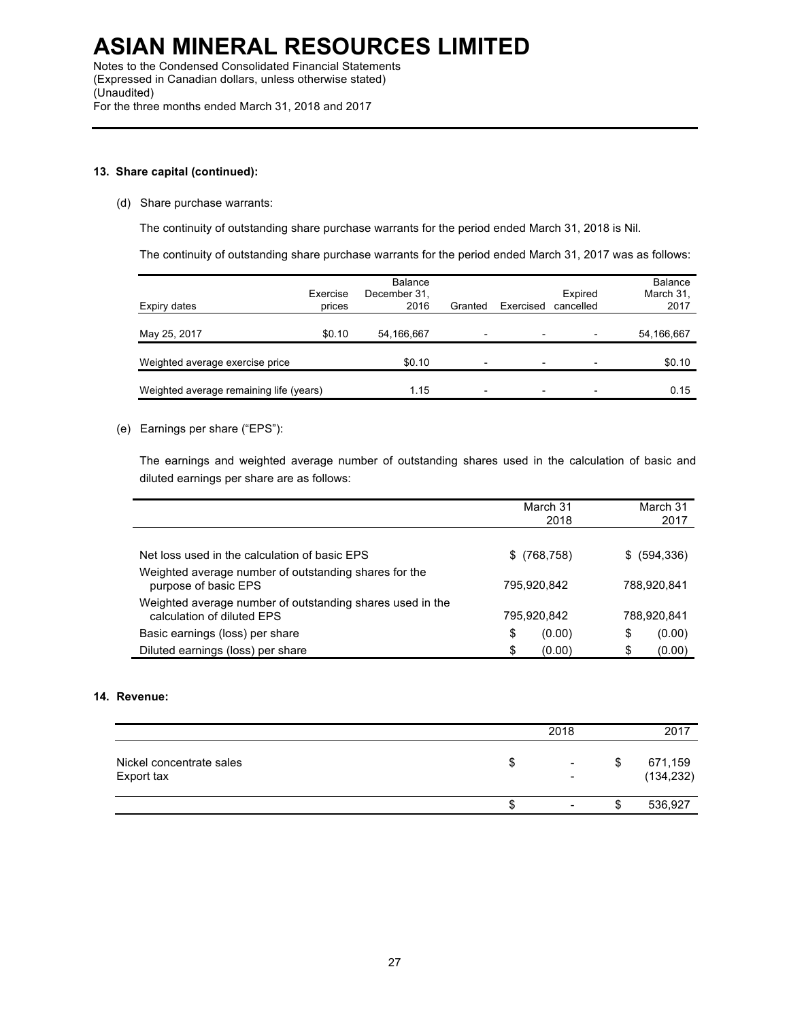### **13. Share capital (continued):**

(d) Share purchase warrants:

The continuity of outstanding share purchase warrants for the period ended March 31, 2018 is Nil.

The continuity of outstanding share purchase warrants for the period ended March 31, 2017 was as follows:

| Expiry dates                            | Exercise<br>prices | Balance<br>December 31,<br>2016 | Granted                  | Exercised                | Expired<br>cancelled     | Balance<br>March 31,<br>2017 |
|-----------------------------------------|--------------------|---------------------------------|--------------------------|--------------------------|--------------------------|------------------------------|
| May 25, 2017                            | \$0.10             | 54,166,667                      | $\overline{\phantom{0}}$ |                          | $\overline{\phantom{0}}$ | 54,166,667                   |
| Weighted average exercise price         |                    | \$0.10                          | $\overline{\phantom{0}}$ | $\overline{\phantom{0}}$ |                          | \$0.10                       |
| Weighted average remaining life (years) | 1.15               | $\overline{\phantom{0}}$        | $\overline{\phantom{0}}$ | $\overline{\phantom{0}}$ | 0.15                     |                              |

(e) Earnings per share ("EPS"):

The earnings and weighted average number of outstanding shares used in the calculation of basic and diluted earnings per share are as follows:

|                                                                                         | March 31<br>2018 | March 31<br>2017 |
|-----------------------------------------------------------------------------------------|------------------|------------------|
|                                                                                         |                  |                  |
| Net loss used in the calculation of basic EPS                                           | $$^{(768,758)}$  | \$ (594, 336)    |
| Weighted average number of outstanding shares for the<br>purpose of basic EPS           | 795.920.842      | 788,920,841      |
| Weighted average number of outstanding shares used in the<br>calculation of diluted EPS | 795,920,842      | 788,920,841      |
| Basic earnings (loss) per share                                                         | \$<br>(0.00)     | S<br>(0.00)      |
| Diluted earnings (loss) per share                                                       | \$<br>(0.00)     | (0.00)<br>\$     |

### **14. Revenue:**

|                                        |   | 2018                                       |    | 2017                  |
|----------------------------------------|---|--------------------------------------------|----|-----------------------|
| Nickel concentrate sales<br>Export tax | S | $\blacksquare$<br>$\overline{\phantom{a}}$ | \$ | 671,159<br>(134, 232) |
|                                        | S | $\blacksquare$                             | S  | 536,927               |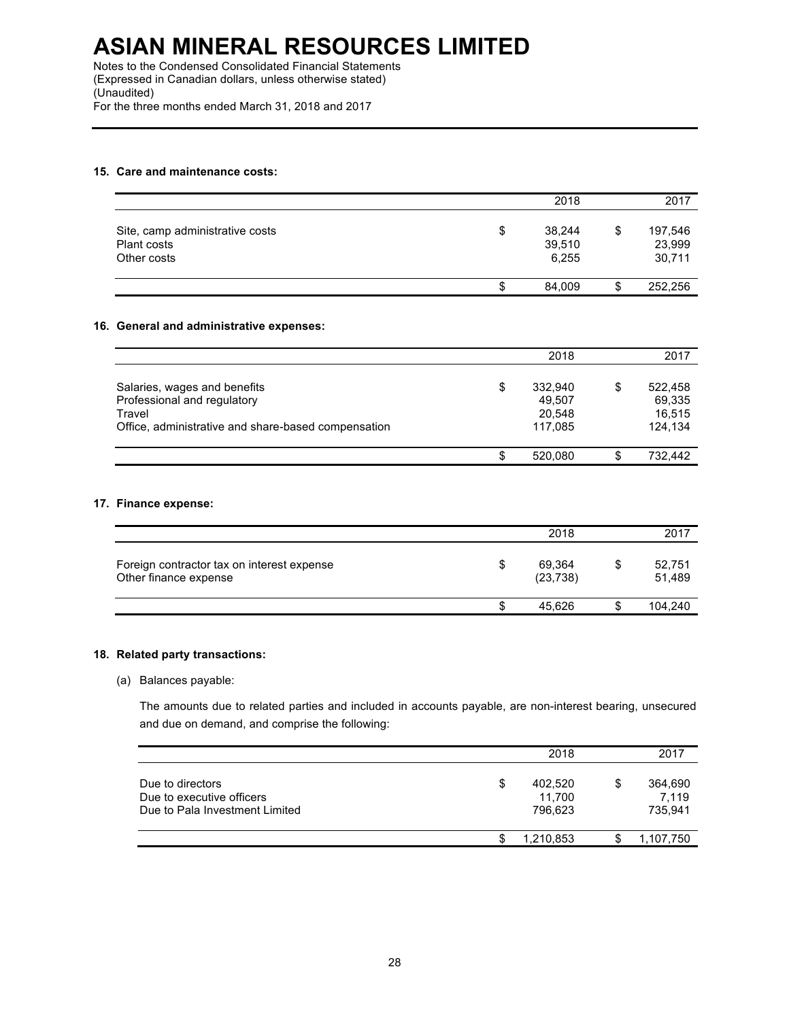Notes to the Condensed Consolidated Financial Statements (Expressed in Canadian dollars, unless otherwise stated) (Unaudited) For the three months ended March 31, 2018 and 2017

# **15. Care and maintenance costs:**

|                                                               |    | 2018                      | 2017                              |
|---------------------------------------------------------------|----|---------------------------|-----------------------------------|
| Site, camp administrative costs<br>Plant costs<br>Other costs | \$ | 38,244<br>39,510<br>6.255 | \$<br>197,546<br>23,999<br>30,711 |
|                                                               | S  | 84.009                    | \$<br>252.256                     |

# **16. General and administrative expenses:**

|                                                                                                                              |    | 2018                                   |   | 2017                                   |
|------------------------------------------------------------------------------------------------------------------------------|----|----------------------------------------|---|----------------------------------------|
| Salaries, wages and benefits<br>Professional and regulatory<br>Travel<br>Office, administrative and share-based compensation | \$ | 332.940<br>49,507<br>20,548<br>117.085 | S | 522.458<br>69,335<br>16,515<br>124.134 |
|                                                                                                                              | S  | 520.080                                | S | 732.442                                |

# **17. Finance expense:**

|                                                                     |    | 2018                |    | 2017             |
|---------------------------------------------------------------------|----|---------------------|----|------------------|
| Foreign contractor tax on interest expense<br>Other finance expense | S  | 69,364<br>(23, 738) | \$ | 52,751<br>51,489 |
|                                                                     | S. | 45.626              | S  | 104.240          |

#### **18. Related party transactions:**

# (a) Balances payable:

The amounts due to related parties and included in accounts payable, are non-interest bearing, unsecured and due on demand, and comprise the following:

|                                                                                 |   | 2018                         | 2017                              |
|---------------------------------------------------------------------------------|---|------------------------------|-----------------------------------|
| Due to directors<br>Due to executive officers<br>Due to Pala Investment Limited | S | 402,520<br>11.700<br>796.623 | \$<br>364,690<br>7.119<br>735,941 |
|                                                                                 |   | 1,210,853                    | 1,107,750                         |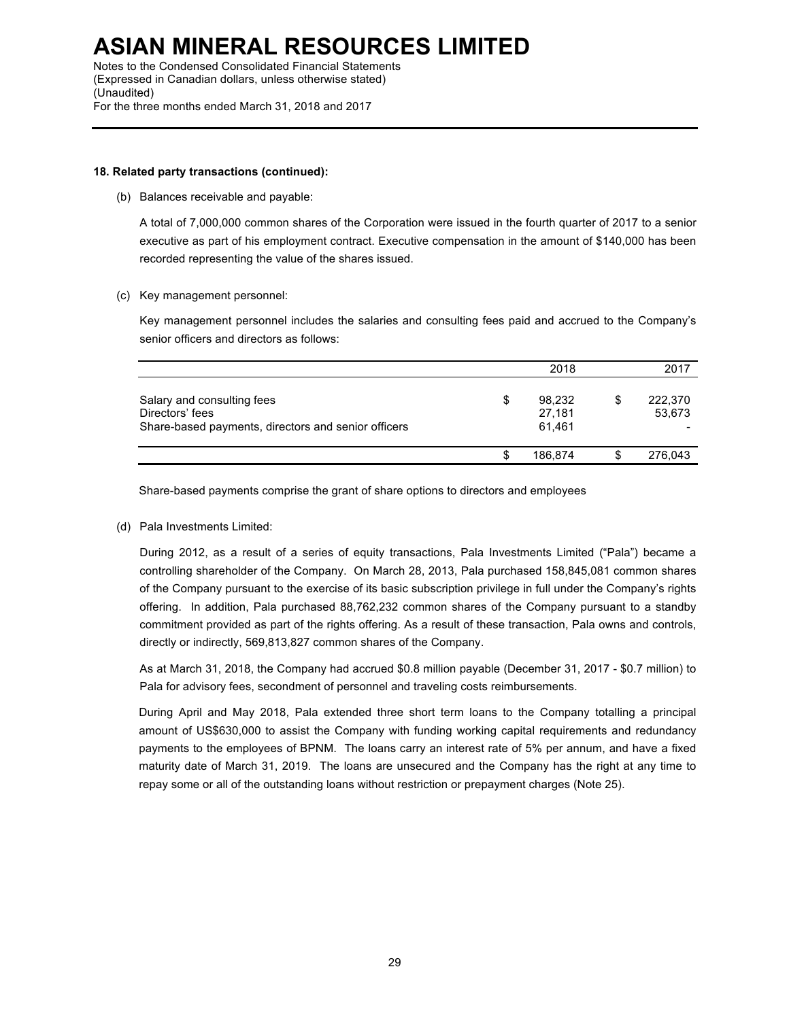Notes to the Condensed Consolidated Financial Statements (Expressed in Canadian dollars, unless otherwise stated) (Unaudited) For the three months ended March 31, 2018 and 2017

### **18. Related party transactions (continued):**

(b) Balances receivable and payable:

A total of 7,000,000 common shares of the Corporation were issued in the fourth quarter of 2017 to a senior executive as part of his employment contract. Executive compensation in the amount of \$140,000 has been recorded representing the value of the shares issued.

(c) Key management personnel:

Key management personnel includes the salaries and consulting fees paid and accrued to the Company's senior officers and directors as follows:

|                                                                                                      | 2018                       |   | 2017              |
|------------------------------------------------------------------------------------------------------|----------------------------|---|-------------------|
| Salary and consulting fees<br>Directors' fees<br>Share-based payments, directors and senior officers | 98,232<br>27.181<br>61.461 | S | 222,370<br>53,673 |
|                                                                                                      | 186.874                    | S | 276,043           |

Share-based payments comprise the grant of share options to directors and employees

(d) Pala Investments Limited:

During 2012, as a result of a series of equity transactions, Pala Investments Limited ("Pala") became a controlling shareholder of the Company. On March 28, 2013, Pala purchased 158,845,081 common shares of the Company pursuant to the exercise of its basic subscription privilege in full under the Company's rights offering. In addition, Pala purchased 88,762,232 common shares of the Company pursuant to a standby commitment provided as part of the rights offering. As a result of these transaction, Pala owns and controls, directly or indirectly, 569,813,827 common shares of the Company.

As at March 31, 2018, the Company had accrued \$0.8 million payable (December 31, 2017 - \$0.7 million) to Pala for advisory fees, secondment of personnel and traveling costs reimbursements.

During April and May 2018, Pala extended three short term loans to the Company totalling a principal amount of US\$630,000 to assist the Company with funding working capital requirements and redundancy payments to the employees of BPNM. The loans carry an interest rate of 5% per annum, and have a fixed maturity date of March 31, 2019. The loans are unsecured and the Company has the right at any time to repay some or all of the outstanding loans without restriction or prepayment charges (Note 25).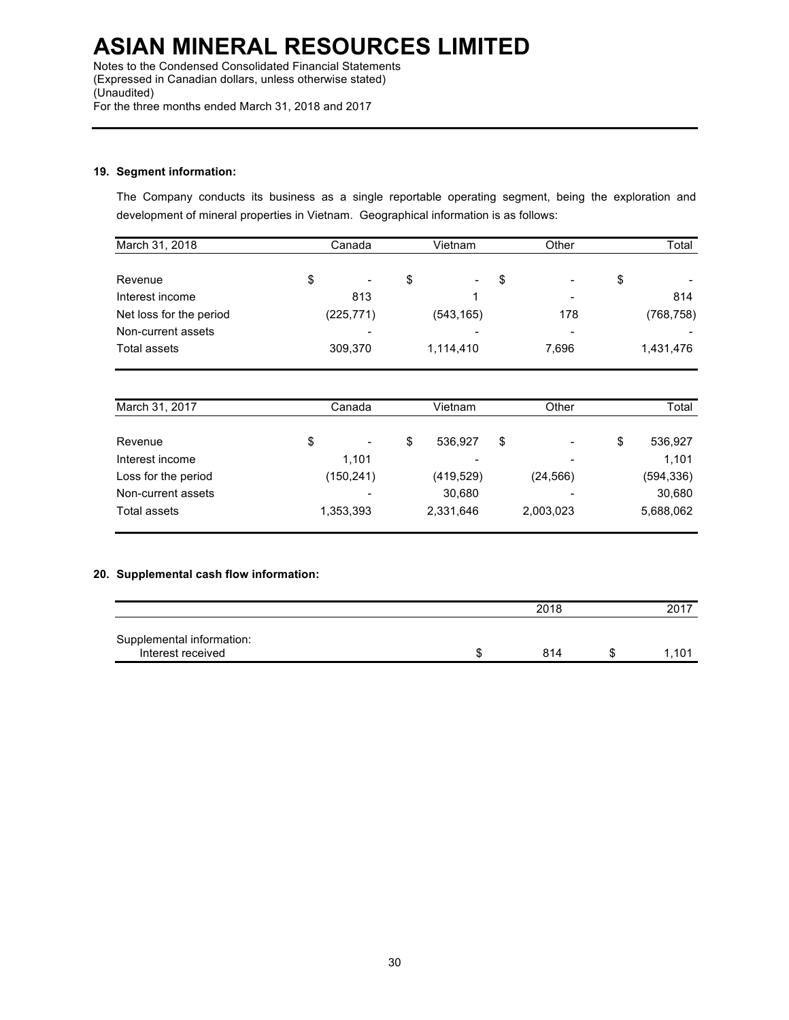Notes to the Condensed Consolidated Financial Statements (Expressed in Canadian dollars, unless otherwise stated) (Unaudited) For the three months ended March 31, 2018 and 2017

# **19. Segment information:**

The Company conducts its business as a single reportable operating segment, being the exploration and development of mineral properties in Vietnam. Geographical information is as follows:

| March 31, 2018          | Canada |                          | Vietnam              | Other | Total |            |
|-------------------------|--------|--------------------------|----------------------|-------|-------|------------|
| Revenue                 | \$     | $\overline{\phantom{a}}$ | \$<br>$\blacksquare$ | \$    | ٠     | \$         |
| Interest income         |        | 813                      |                      |       | ٠     | 814        |
| Net loss for the period |        | (225, 771)               | (543, 165)           |       | 178   | (768, 758) |
| Non-current assets      |        |                          |                      |       | ۰     |            |
| Total assets            |        | 309,370                  | 1,114,410            |       | 7,696 | 1,431,476  |

| March 31, 2017      | Canada<br>Vietnam              |    |                          | Other     | Total |           |
|---------------------|--------------------------------|----|--------------------------|-----------|-------|-----------|
|                     |                                |    |                          |           |       |           |
| Revenue             | \$<br>$\overline{\phantom{a}}$ | \$ | 536.927                  | \$<br>٠   | S     | 536,927   |
| Interest income     | 1.101                          |    | $\overline{\phantom{a}}$ | ٠         |       | 1.101     |
| Loss for the period | (150, 241)                     |    | (419, 529)               | (24, 566) |       | (594,336) |
| Non-current assets  |                                |    | 30,680                   |           |       | 30,680    |
| Total assets        | 1,353,393                      |    | 2,331,646                | 2,003,023 |       | 5,688,062 |

# **20. Supplemental cash flow information:**

|                                                | 2018 |  |      |
|------------------------------------------------|------|--|------|
| Supplemental information:<br>Interest received | 814  |  | .101 |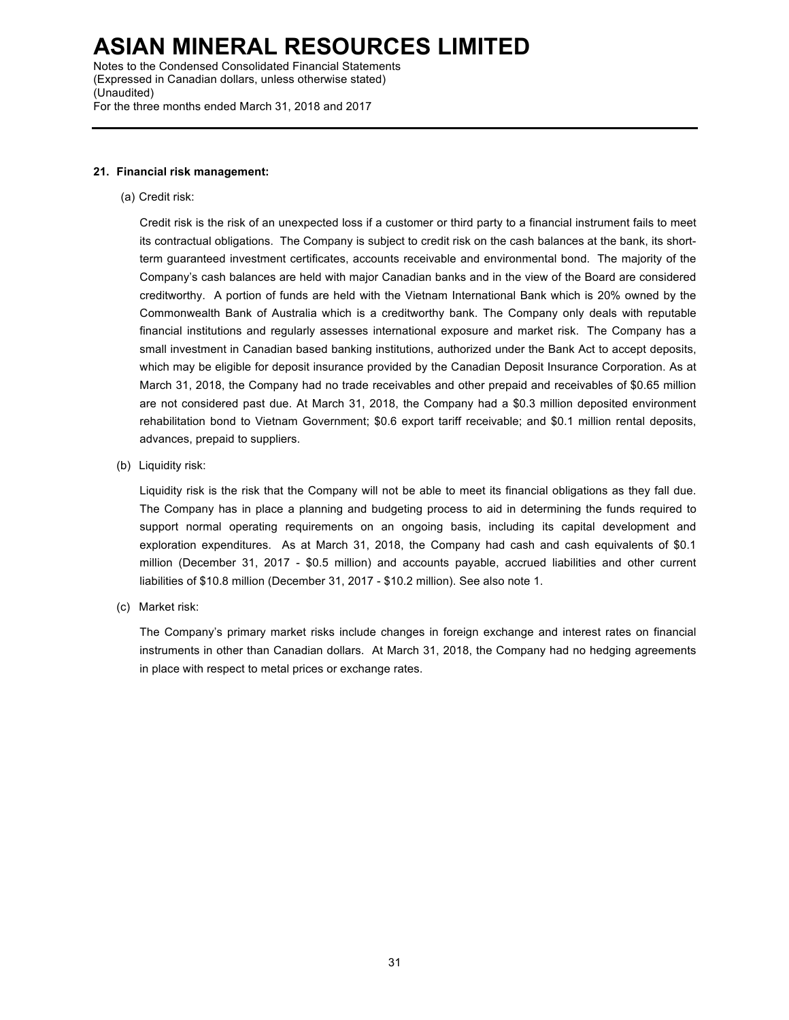Notes to the Condensed Consolidated Financial Statements (Expressed in Canadian dollars, unless otherwise stated) (Unaudited) For the three months ended March 31, 2018 and 2017

#### **21. Financial risk management:**

(a) Credit risk:

Credit risk is the risk of an unexpected loss if a customer or third party to a financial instrument fails to meet its contractual obligations. The Company is subject to credit risk on the cash balances at the bank, its shortterm guaranteed investment certificates, accounts receivable and environmental bond. The majority of the Company's cash balances are held with major Canadian banks and in the view of the Board are considered creditworthy. A portion of funds are held with the Vietnam International Bank which is 20% owned by the Commonwealth Bank of Australia which is a creditworthy bank. The Company only deals with reputable financial institutions and regularly assesses international exposure and market risk. The Company has a small investment in Canadian based banking institutions, authorized under the Bank Act to accept deposits, which may be eligible for deposit insurance provided by the Canadian Deposit Insurance Corporation. As at March 31, 2018, the Company had no trade receivables and other prepaid and receivables of \$0.65 million are not considered past due. At March 31, 2018, the Company had a \$0.3 million deposited environment rehabilitation bond to Vietnam Government; \$0.6 export tariff receivable; and \$0.1 million rental deposits, advances, prepaid to suppliers.

(b) Liquidity risk:

Liquidity risk is the risk that the Company will not be able to meet its financial obligations as they fall due. The Company has in place a planning and budgeting process to aid in determining the funds required to support normal operating requirements on an ongoing basis, including its capital development and exploration expenditures. As at March 31, 2018, the Company had cash and cash equivalents of \$0.1 million (December 31, 2017 - \$0.5 million) and accounts payable, accrued liabilities and other current liabilities of \$10.8 million (December 31, 2017 - \$10.2 million). See also note 1.

(c) Market risk:

The Company's primary market risks include changes in foreign exchange and interest rates on financial instruments in other than Canadian dollars. At March 31, 2018, the Company had no hedging agreements in place with respect to metal prices or exchange rates.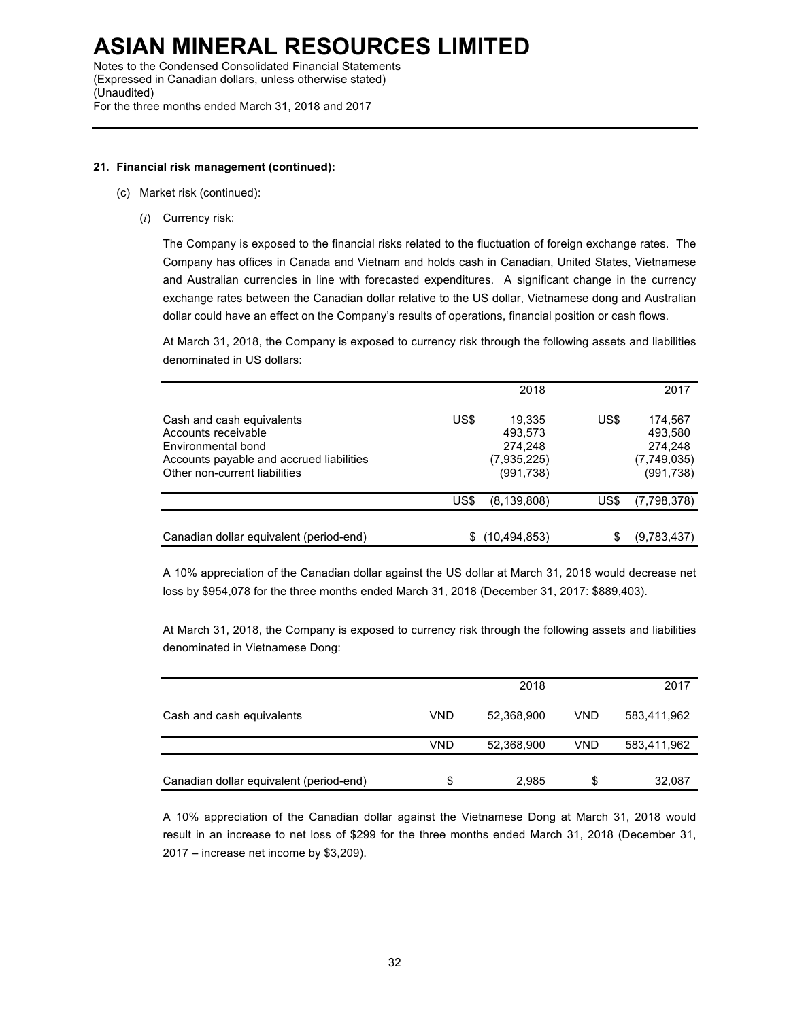# **21. Financial risk management (continued):**

- (c) Market risk (continued):
	- (*i*) Currency risk:

The Company is exposed to the financial risks related to the fluctuation of foreign exchange rates. The Company has offices in Canada and Vietnam and holds cash in Canadian, United States, Vietnamese and Australian currencies in line with forecasted expenditures. A significant change in the currency exchange rates between the Canadian dollar relative to the US dollar, Vietnamese dong and Australian dollar could have an effect on the Company's results of operations, financial position or cash flows.

At March 31, 2018, the Company is exposed to currency risk through the following assets and liabilities denominated in US dollars:

|                                                                                                                                                     |      | 2018                                                      |      | 2017                                                       |
|-----------------------------------------------------------------------------------------------------------------------------------------------------|------|-----------------------------------------------------------|------|------------------------------------------------------------|
| Cash and cash equivalents<br>Accounts receivable<br>Environmental bond<br>Accounts payable and accrued liabilities<br>Other non-current liabilities | US\$ | 19.335<br>493.573<br>274.248<br>(7,935,225)<br>(991, 738) | US\$ | 174.567<br>493.580<br>274.248<br>(7,749,035)<br>(991, 738) |
|                                                                                                                                                     | US\$ | (8, 139, 808)                                             | US\$ | (7,798,378)                                                |
| Canadian dollar equivalent (period-end)                                                                                                             | S    | (10, 494, 853)                                            | S    | (9,783,437)                                                |

A 10% appreciation of the Canadian dollar against the US dollar at March 31, 2018 would decrease net loss by \$954,078 for the three months ended March 31, 2018 (December 31, 2017: \$889,403).

At March 31, 2018, the Company is exposed to currency risk through the following assets and liabilities denominated in Vietnamese Dong:

|                                         |            | 2018       |     | 2017        |
|-----------------------------------------|------------|------------|-----|-------------|
| Cash and cash equivalents               | VND        | 52,368,900 | VND | 583,411,962 |
|                                         | <b>VND</b> | 52,368,900 | VND | 583,411,962 |
| Canadian dollar equivalent (period-end) | S          | 2,985      | \$  | 32,087      |

A 10% appreciation of the Canadian dollar against the Vietnamese Dong at March 31, 2018 would result in an increase to net loss of \$299 for the three months ended March 31, 2018 (December 31, 2017 – increase net income by \$3,209).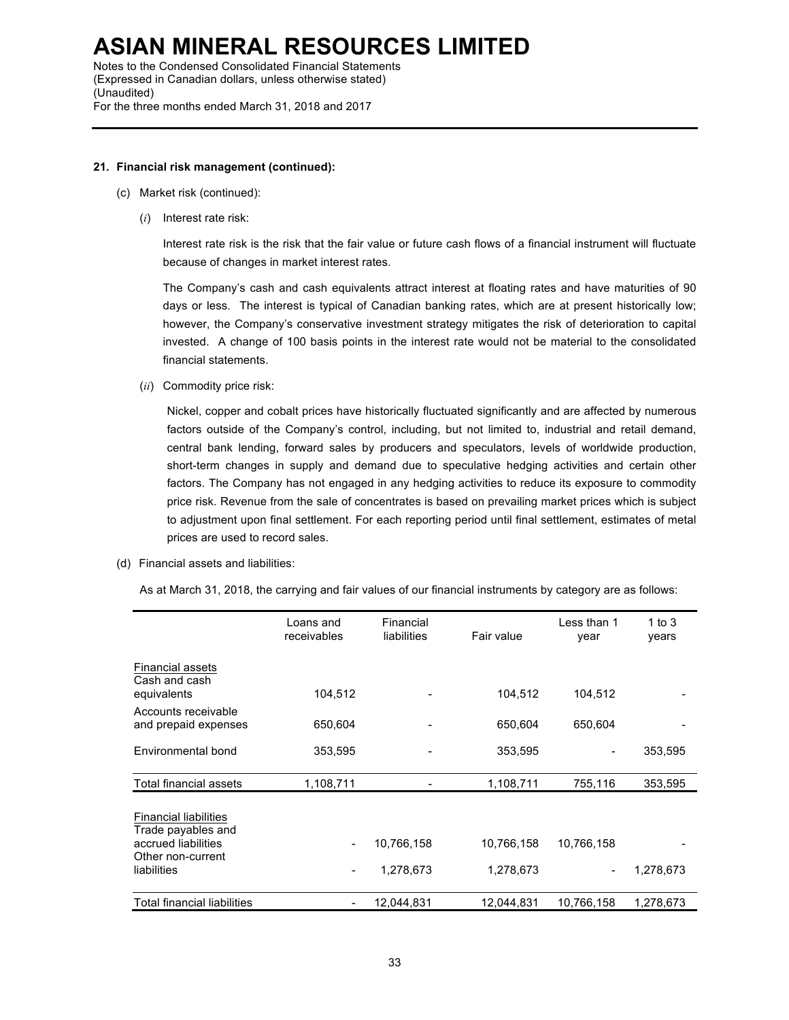# **21. Financial risk management (continued):**

- (c) Market risk (continued):
	- (*i*) Interest rate risk:

Interest rate risk is the risk that the fair value or future cash flows of a financial instrument will fluctuate because of changes in market interest rates.

The Company's cash and cash equivalents attract interest at floating rates and have maturities of 90 days or less. The interest is typical of Canadian banking rates, which are at present historically low; however, the Company's conservative investment strategy mitigates the risk of deterioration to capital invested. A change of 100 basis points in the interest rate would not be material to the consolidated financial statements.

(*ii*) Commodity price risk:

Nickel, copper and cobalt prices have historically fluctuated significantly and are affected by numerous factors outside of the Company's control, including, but not limited to, industrial and retail demand, central bank lending, forward sales by producers and speculators, levels of worldwide production, short-term changes in supply and demand due to speculative hedging activities and certain other factors. The Company has not engaged in any hedging activities to reduce its exposure to commodity price risk. Revenue from the sale of concentrates is based on prevailing market prices which is subject to adjustment upon final settlement. For each reporting period until final settlement, estimates of metal prices are used to record sales.

(d) Financial assets and liabilities:

As at March 31, 2018, the carrying and fair values of our financial instruments by category are as follows:

|                                                                                                               | Loans and<br>receivables | Financial<br>liabilities | Fair value              | Less than 1<br>year | 1 to 3<br>years |
|---------------------------------------------------------------------------------------------------------------|--------------------------|--------------------------|-------------------------|---------------------|-----------------|
| <b>Financial assets</b><br>Cash and cash<br>equivalents                                                       | 104,512                  |                          | 104,512                 | 104,512             |                 |
| Accounts receivable<br>and prepaid expenses                                                                   | 650,604                  |                          | 650,604                 | 650,604             |                 |
| Environmental bond                                                                                            | 353,595                  |                          | 353,595                 |                     | 353,595         |
| Total financial assets                                                                                        | 1,108,711                |                          | 1,108,711               | 755,116             | 353,595         |
| <b>Financial liabilities</b><br>Trade payables and<br>accrued liabilities<br>Other non-current<br>liabilities | -                        | 10,766,158<br>1,278,673  | 10,766,158<br>1,278,673 | 10,766,158          | 1,278,673       |
| <b>Total financial liabilities</b>                                                                            |                          | 12.044.831               | 12.044.831              | 10,766,158          | 1,278,673       |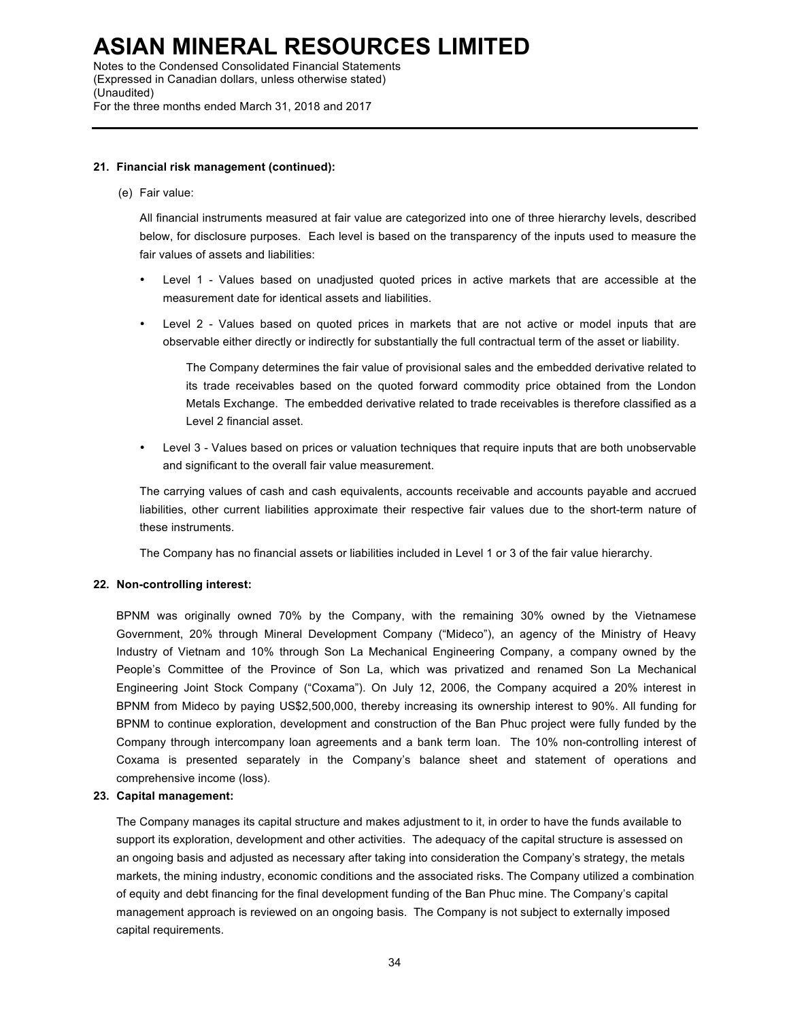### **21. Financial risk management (continued):**

#### (e) Fair value:

All financial instruments measured at fair value are categorized into one of three hierarchy levels, described below, for disclosure purposes. Each level is based on the transparency of the inputs used to measure the fair values of assets and liabilities:

- Level 1 Values based on unadjusted quoted prices in active markets that are accessible at the measurement date for identical assets and liabilities.
- Level 2 Values based on quoted prices in markets that are not active or model inputs that are observable either directly or indirectly for substantially the full contractual term of the asset or liability.

The Company determines the fair value of provisional sales and the embedded derivative related to its trade receivables based on the quoted forward commodity price obtained from the London Metals Exchange. The embedded derivative related to trade receivables is therefore classified as a Level 2 financial asset.

• Level 3 - Values based on prices or valuation techniques that require inputs that are both unobservable and significant to the overall fair value measurement.

The carrying values of cash and cash equivalents, accounts receivable and accounts payable and accrued liabilities, other current liabilities approximate their respective fair values due to the short-term nature of these instruments.

The Company has no financial assets or liabilities included in Level 1 or 3 of the fair value hierarchy.

### **22. Non-controlling interest:**

BPNM was originally owned 70% by the Company, with the remaining 30% owned by the Vietnamese Government, 20% through Mineral Development Company ("Mideco"), an agency of the Ministry of Heavy Industry of Vietnam and 10% through Son La Mechanical Engineering Company, a company owned by the People's Committee of the Province of Son La, which was privatized and renamed Son La Mechanical Engineering Joint Stock Company ("Coxama"). On July 12, 2006, the Company acquired a 20% interest in BPNM from Mideco by paying US\$2,500,000, thereby increasing its ownership interest to 90%. All funding for BPNM to continue exploration, development and construction of the Ban Phuc project were fully funded by the Company through intercompany loan agreements and a bank term loan. The 10% non-controlling interest of Coxama is presented separately in the Company's balance sheet and statement of operations and comprehensive income (loss).

# **23. Capital management:**

The Company manages its capital structure and makes adjustment to it, in order to have the funds available to support its exploration, development and other activities. The adequacy of the capital structure is assessed on an ongoing basis and adjusted as necessary after taking into consideration the Company's strategy, the metals markets, the mining industry, economic conditions and the associated risks. The Company utilized a combination of equity and debt financing for the final development funding of the Ban Phuc mine. The Company's capital management approach is reviewed on an ongoing basis. The Company is not subject to externally imposed capital requirements.